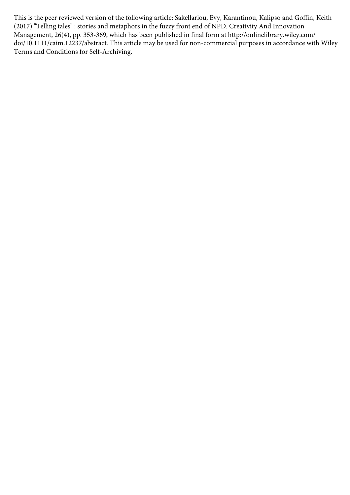This is the peer reviewed version of the following article: Sakellariou, Evy, Karantinou, Kalipso and Goffin, Keith (2017) "Telling tales" : stories and metaphors in the fuzzy front end of NPD. Creativity And Innovation Management, 26(4), pp. 353-369, which has been published in final form at http://onlinelibrary.wiley.com/ doi/10.1111/caim.12237/abstract. This article may be used for non-commercial purposes in accordance with Wiley Terms and Conditions for Self-Archiving.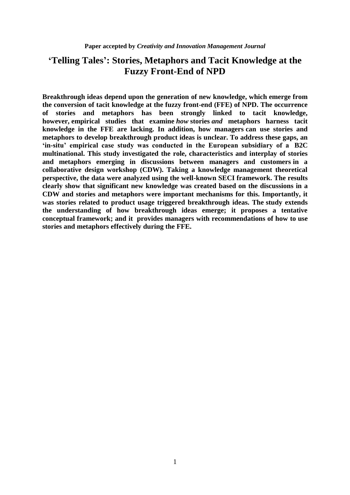# **'Telling Tales': Stories, Metaphors and Tacit Knowledge at the Fuzzy Front-End of NPD**

**Breakthrough ideas depend upon the generation of new knowledge, which emerge from the conversion of tacit knowledge at the fuzzy front-end (FFE) of NPD. The occurrence of stories and metaphors has been strongly linked to tacit knowledge, however, empirical studies that examine** *how* **stories** *and* **metaphors harness tacit knowledge in the FFE are lacking. In addition, how managers can use stories and metaphors to develop breakthrough product ideas is unclear. To address these gaps, an 'in-situ' empirical case study was conducted in the European subsidiary of a B2C multinational. This study investigated the role, characteristics and interplay of stories and metaphors emerging in discussions between managers and customers in a collaborative design workshop (CDW). Taking a knowledge management theoretical perspective, the data were analyzed using the well-known SECI framework. The results clearly show that significant new knowledge was created based on the discussions in a CDW and stories and metaphors were important mechanisms for this. Importantly, it was stories related to product usage triggered breakthrough ideas. The study extends the understanding of how breakthrough ideas emerge; it proposes a tentative conceptual framework; and it provides managers with recommendations of how to use stories and metaphors effectively during the FFE.**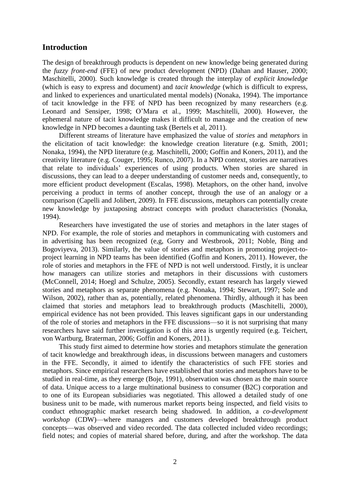## **Introduction**

The design of breakthrough products is dependent on new knowledge being generated during the *fuzzy front-end* (FFE) of new product development (NPD) (Dahan and Hauser, 2000; Maschitelli, 2000). Such knowledge is created through the interplay of *explicit knowledge* (which is easy to express and document) and *tacit knowledge* (which is difficult to express, and linked to experiences and unarticulated mental models) (Nonaka, 1994). The importance of tacit knowledge in the FFE of NPD has been recognized by many researchers (e.g. Leonard and Sensiper, 1998; O'Mara et al., 1999; Maschitelli, 2000). However, the ephemeral nature of tacit knowledge makes it difficult to manage and the creation of new knowledge in NPD becomes a daunting task (Bertels et al, 2011).

Different streams of literature have emphasized the value of *stories* and *metaphors* in the elicitation of tacit knowledge: the knowledge creation literature (e.g. Smith, 2001; Nonaka, 1994), the NPD literature (e.g. Maschitelli, 2000; Goffin and Koners, 2011), and the creativity literature (e.g. Couger, 1995; Runco, 2007). In a NPD context, stories are narratives that relate to individuals' experiences of using products. When stories are shared in discussions, they can lead to a deeper understanding of customer needs and, consequently, to more efficient product development (Escalas, 1998). Metaphors, on the other hand, involve perceiving a product in terms of another concept, through the use of an analogy or a comparison (Capelli and Jolibert, 2009). In FFE discussions, metaphors can potentially create new knowledge by juxtaposing abstract concepts with product characteristics (Nonaka, 1994).

Researchers have investigated the use of stories and metaphors in the later stages of NPD. For example, the role of stories and metaphors in communicating with customers and in advertising has been recognized (e,g, Gorry and Westbrook, 2011; Noble, Bing and Bogoviyeva, 2013). Similarly, the value of stories and metaphors in promoting project-toproject learning in NPD teams has been identified (Goffin and Koners, 2011). However, the role of stories and metaphors in the FFE of NPD is not well understood. Firstly, it is unclear how managers can utilize stories and metaphors in their discussions with customers (McConnell, 2014; Hoegl and Schulze, 2005). Secondly, extant research has largely viewed stories and metaphors as separate phenomena (e.g. Nonaka, 1994; Stewart, 1997; Sole and Wilson, 2002), rather than as, potentially, related phenomena. Thirdly, although it has been claimed that stories and metaphors lead to breakthrough products (Maschitelli, 2000), empirical evidence has not been provided. This leaves significant gaps in our understanding of the role of stories and metaphors in the FFE discussions—so it is not surprising that many researchers have said further investigation is of this area is urgently required (e.g. Teichert, von Wartburg, Braterman, 2006; Goffin and Koners, 2011).

This study first aimed to determine how stories and metaphors stimulate the generation of tacit knowledge and breakthrough ideas, in discussions between managers and customers in the FFE. Secondly, it aimed to identify the characteristics of such FFE stories and metaphors. Since empirical researchers have established that stories and metaphors have to be studied in real-time, as they emerge (Boje, 1991), observation was chosen as the main source of data. Unique access to a large multinational business to consumer (B2C) corporation and to one of its European subsidiaries was negotiated. This allowed a detailed study of one business unit to be made, with numerous market reports being inspected, and field visits to conduct ethnographic market research being shadowed. In addition, a *co-development workshop* (CDW)—where managers and customers developed breakthrough product concepts—was observed and video recorded. The data collected included video recordings; field notes; and copies of material shared before, during, and after the workshop. The data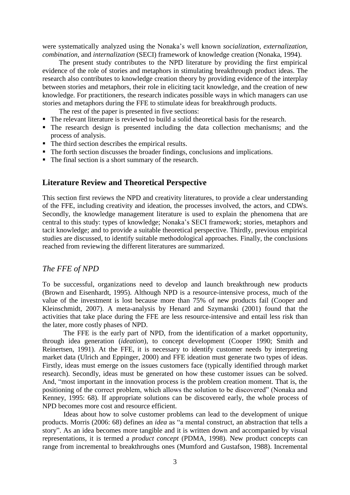were systematically analyzed using the Nonaka's well known *socialization, externalization, combination*, and *internalization* (SECI) framework of knowledge creation (Nonaka, 1994).

The present study contributes to the NPD literature by providing the first empirical evidence of the role of stories and metaphors in stimulating breakthrough product ideas. The research also contributes to knowledge creation theory by providing evidence of the interplay between stories and metaphors, their role in eliciting tacit knowledge, and the creation of new knowledge. For practitioners, the research indicates possible ways in which managers can use stories and metaphors during the FFE to stimulate ideas for breakthrough products.

The rest of the paper is presented in five sections:

- The relevant literature is reviewed to build a solid theoretical basis for the research.
- The research design is presented including the data collection mechanisms; and the process of analysis.
- The third section describes the empirical results.
- The forth section discusses the broader findings, conclusions and implications.
- The final section is a short summary of the research.

#### **Literature Review and Theoretical Perspective**

This section first reviews the NPD and creativity literatures, to provide a clear understanding of the FFE, including creativity and ideation, the processes involved, the actors, and CDWs. Secondly, the knowledge management literature is used to explain the phenomena that are central to this study: types of knowledge; Nonaka's SECI framework; stories, metaphors and tacit knowledge; and to provide a suitable theoretical perspective. Thirdly, previous empirical studies are discussed, to identify suitable methodological approaches. Finally, the conclusions reached from reviewing the different literatures are summarized.

#### *The FFE of NPD*

To be successful, organizations need to develop and launch breakthrough new products (Brown and Eisenhardt, 1995). Although NPD is a resource-intensive process, much of the value of the investment is lost because more than 75% of new products fail (Cooper and Kleinschmidt, 2007). A meta-analysis by Henard and Szymanski (2001) found that the activities that take place during the FFE are less resource-intensive and entail less risk than the later, more costly phases of NPD.

The FFE is the early part of NPD, from the identification of a market opportunity, through idea generation (*ideation*), to concept development (Cooper 1990; Smith and Reinertsen, 1991). At the FFE, it is necessary to identify customer needs by interpreting market data (Ulrich and Eppinger, 2000) and FFE ideation must generate two types of ideas. Firstly, ideas must emerge on the issues customers face (typically identified through market research). Secondly, ideas must be generated on how these customer issues can be solved. And, "most important in the innovation process is the problem creation moment. That is, the positioning of the correct problem, which allows the solution to be discovered" (Nonaka and Kenney, 1995: 68). If appropriate solutions can be discovered early, the whole process of NPD becomes more cost and resource efficient.

Ideas about how to solve customer problems can lead to the development of unique products. Morris (2006: 68) defines an *idea* as "a mental construct, an abstraction that tells a story". As an idea becomes more tangible and it is written down and accompanied by visual representations, it is termed a *product concept* (PDMA, 1998). New product concepts can range from incremental to breakthroughs ones (Mumford and Gustafson, 1988). Incremental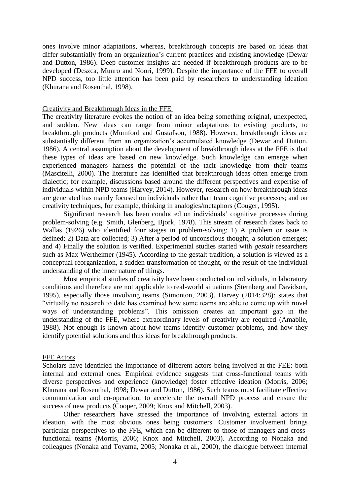ones involve minor adaptations, whereas, breakthrough concepts are based on ideas that differ substantially from an organization's current practices and existing knowledge (Dewar and Dutton, 1986). Deep customer insights are needed if breakthrough products are to be developed (Deszca, Munro and Noori, 1999). Despite the importance of the FFE to overall NPD success, too little attention has been paid by researchers to understanding ideation (Khurana and Rosenthal, 1998).

#### Creativity and Breakthrough Ideas in the FFE

The creativity literature evokes the notion of an idea being something original, unexpected, and sudden. New ideas can range from minor adaptations to existing products, to breakthrough products (Mumford and Gustafson, 1988). However, breakthrough ideas are substantially different from an organization's accumulated knowledge (Dewar and Dutton, 1986). A central assumption about the development of breakthrough ideas at the FFE is that these types of ideas are based on new knowledge. Such knowledge can emerge when experienced managers harness the potential of the tacit knowledge from their teams (Mascitelli, 2000). The literature has identified that breakthrough ideas often emerge from dialectic; for example, discussions based around the different perspectives and expertise of individuals within NPD teams (Harvey, 2014). However, research on how breakthrough ideas are generated has mainly focused on individuals rather than team cognitive processes; and on creativity techniques, for example, thinking in analogies/metaphors (Couger, 1995).

Significant research has been conducted on individuals' cognitive processes during problem-solving (e.g. Smith, Glenberg, Bjork, 1978). This stream of research dates back to Wallas (1926) who identified four stages in problem-solving: 1) A problem or issue is defined; 2) Data are collected; 3) After a period of unconscious thought, a solution emerges; and 4) Finally the solution is verified. Experimental studies started with *gestalt* researchers such as Max Wertheimer (1945). According to the gestalt tradition, a solution is viewed as a conceptual reorganization, a sudden transformation of thought, or the result of the individual understanding of the inner nature of things.

Most empirical studies of creativity have been conducted on individuals, in laboratory conditions and therefore are not applicable to real-world situations (Sternberg and Davidson, 1995), especially those involving teams (Simonton, 2003). Harvey (2014:328): states that "virtually no research to date has examined how some teams are able to come up with novel ways of understanding problems". This omission creates an important gap in the understanding of the FFE, where extraordinary levels of creativity are required (Amabile, 1988). Not enough is known about how teams identify customer problems, and how they identify potential solutions and thus ideas for breakthrough products.

#### FFE Actors

Scholars have identified the importance of different actors being involved at the FEE: both internal and external ones. Empirical evidence suggests that cross-functional teams with diverse perspectives and experience (knowledge) foster effective ideation (Morris, 2006; Khurana and Rosenthal, 1998; Dewar and Dutton, 1986). Such teams must facilitate effective communication and co-operation, to accelerate the overall NPD process and ensure the success of new products (Cooper, 2009; Knox and Mitchell, 2003).

Other researchers have stressed the importance of involving external actors in ideation, with the most obvious ones being customers. Customer involvement brings particular perspectives to the FFE, which can be different to those of managers and crossfunctional teams (Morris, 2006; Knox and Mitchell, 2003). According to Nonaka and colleagues (Nonaka and Toyama, 2005; Nonaka et al., 2000), the dialogue between internal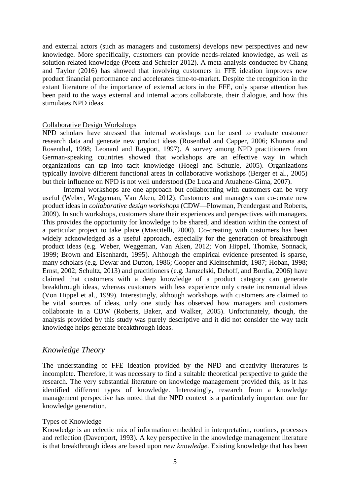and external actors (such as managers and customers) develops new perspectives and new knowledge. More specifically, customers can provide needs-related knowledge, as well as solution-related knowledge (Poetz and Schreier 2012). A meta-analysis conducted by Chang and Taylor (2016) has showed that involving customers in FFE ideation improves new product financial performance and accelerates time-to-market. Despite the recognition in the extant literature of the importance of external actors in the FFE, only sparse attention has been paid to the ways external and internal actors collaborate, their dialogue, and how this stimulates NPD ideas.

#### Collaborative Design Workshops

NPD scholars have stressed that internal workshops can be used to evaluate customer research data and generate new product ideas (Rosenthal and Capper, 2006; Khurana and Rosenthal, 1998; Leonard and Rayport, 1997). A survey among NPD practitioners from German-speaking countries showed that workshops are an effective way in which organizations can tap into tacit knowledge (Hoegl and Schuzle, 2005). Organizations typically involve different functional areas in collaborative workshops (Berger et al., 2005) but their influence on NPD is not well understood (De Luca and Atuahene-Gima, 2007).

Internal workshops are one approach but collaborating with customers can be very useful (Weber, Weggeman, Van Aken, 2012). Customers and managers can co-create new product ideas in *collaborative design workshops* (CDW—Plowman, Prendergast and Roberts, 2009)*.* In such workshops, customers share their experiences and perspectives with managers. This provides the opportunity for knowledge to be shared, and ideation within the context of a particular project to take place (Mascitelli, 2000). Co-creating with customers has been widely acknowledged as a useful approach, especially for the generation of breakthrough product ideas (e.g. Weber, Weggeman, Van Aken, 2012; Von Hippel, Thomke, Sonnack, 1999; Brown and Eisenhardt, 1995). Although the empirical evidence presented is sparse, many scholars (e.g. Dewar and Dutton, 1986; Cooper and Kleinschmidt, 1987; Hoban, 1998; Ernst, 2002; Schultz, 2013) and practitioners (e.g. Jaruzelski, Dehoff, and Bordia, 2006) have claimed that customers with a deep knowledge of a product category can generate breakthrough ideas, whereas customers with less experience only create incremental ideas (Von Hippel et al., 1999). Interestingly, although workshops with customers are claimed to be vital sources of ideas, only one study has observed how managers and customers collaborate in a CDW (Roberts, Baker, and Walker, 2005). Unfortunately, though, the analysis provided by this study was purely descriptive and it did not consider the way tacit knowledge helps generate breakthrough ideas.

### *Knowledge Theory*

The understanding of FFE ideation provided by the NPD and creativity literatures is incomplete. Therefore, it was necessary to find a suitable theoretical perspective to guide the research. The very substantial literature on knowledge management provided this, as it has identified different types of knowledge. Interestingly, research from a knowledge management perspective has noted that the NPD context is a particularly important one for knowledge generation.

#### Types of Knowledge

Knowledge is an eclectic mix of information embedded in interpretation, routines, processes and reflection (Davenport, 1993). A key perspective in the knowledge management literature is that breakthrough ideas are based upon *new knowledge*. Existing knowledge that has been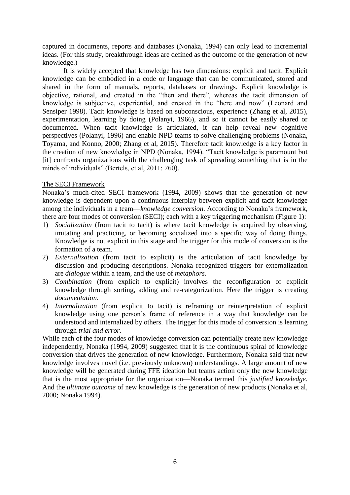captured in documents, reports and databases (Nonaka, 1994) can only lead to incremental ideas. (For this study, breakthrough ideas are defined as the outcome of the generation of new knowledge.)

It is widely accepted that knowledge has two dimensions: explicit and tacit. Explicit knowledge can be embodied in a code or language that can be communicated, stored and shared in the form of manuals, reports, databases or drawings. Explicit knowledge is objective, rational, and created in the "then and there", whereas the tacit dimension of knowledge is subjective, experiential, and created in the "here and now" (Leonard and Sensiper 1998). Tacit knowledge is based on subconscious, experience (Zhang et al, 2015), experimentation, learning by doing (Polanyi, 1966), and so it cannot be easily shared or documented. When tacit knowledge is articulated, it can help reveal new cognitive perspectives (Polanyi, 1996) and enable NPD teams to solve challenging problems (Nonaka, Toyama, and Konno, 2000; Zhang et al, 2015). Therefore tacit knowledge is a key factor in the creation of new knowledge in NPD (Nonaka, 1994). "Tacit knowledge is paramount but [it] confronts organizations with the challenging task of spreading something that is in the minds of individuals" (Bertels, et al, 2011: 760).

### The SECI Framework

Nonaka's much-cited SECI framework (1994, 2009) shows that the generation of new knowledge is dependent upon a continuous interplay between explicit and tacit knowledge among the individuals in a team—*knowledge conversion*. According to Nonaka's framework, there are four modes of conversion (SECI); each with a key triggering mechanism (Figure 1):

- 1) *Socialization* (from tacit to tacit) is where tacit knowledge is acquired by observing, imitating and practicing, or becoming socialized into a specific way of doing things. Knowledge is not explicit in this stage and the trigger for this mode of conversion is the formation of a team.
- 2) *Externalization* (from tacit to explicit) is the articulation of tacit knowledge by discussion and producing descriptions. Nonaka recognized triggers for externalization are *dialogue* within a team, and the use of *metaphors*.
- 3) *Combination* (from explicit to explicit) involves the reconfiguration of explicit knowledge through sorting, adding and re-categorization. Here the trigger is creating *documentation*.
- 4) *Internalization* (from explicit to tacit) is reframing or reinterpretation of explicit knowledge using one person's frame of reference in a way that knowledge can be understood and internalized by others. The trigger for this mode of conversion is learning through *trial and error*.

While each of the four modes of knowledge conversion can potentially create new knowledge independently, Nonaka (1994, 2009) suggested that it is the continuous spiral of knowledge conversion that drives the generation of new knowledge*.* Furthermore, Nonaka said that new knowledge involves novel (i.e. previously unknown) understandings. A large amount of new knowledge will be generated during FFE ideation but teams action only the new knowledge that is the most appropriate for the organization—Nonaka termed this *justified knowledge.*  And the *ultimate outcome* of new knowledge is the generation of new products (Nonaka et al, 2000; Nonaka 1994).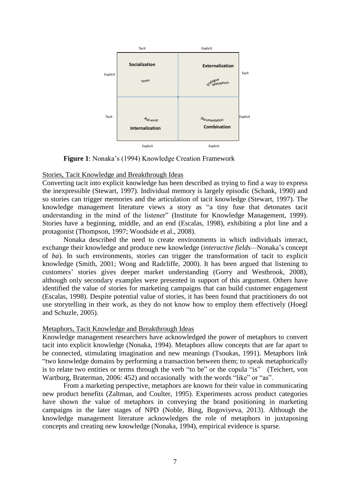

**Figure 1**: Nonaka's (1994) Knowledge Creation Framework

### Stories, Tacit Knowledge and Breakthrough Ideas

Converting tacit into explicit knowledge has been described as trying to find a way to express the inexpressible (Stewart, 1997). Individual memory is largely episodic (Schank, 1990) and so stories can trigger memories and the articulation of tacit knowledge (Stewart, 1997). The knowledge management literature views a story as "a tiny fuse that detonates tacit understanding in the mind of the listener" (Institute for Knowledge Management, 1999). Stories have a beginning, middle, and an end (Escalas, 1998), exhibiting a plot line and a protagonist (Thompson, 1997; Woodside et al., 2008).

Nonaka described the need to create environments in which individuals interact, exchange their knowledge and produce new knowledge (*interactive fields—*Nonaka's concept of *ba*). In such environments, stories can trigger the transformation of tacit to explicit knowledge (Smith, 2001; Wong and Radcliffe, 2000). It has been argued that listening to customers' stories gives deeper market understanding (Gorry and Westbrook, 2008), although only secondary examples were presented in support of this argument. Others have identified the value of stories for marketing campaigns that can build customer engagement (Escalas, 1998). Despite potential value of stories, it has been found that practitioners do not use storytelling in their work, as they do not know how to employ them effectively (Hoegl and Schuzle, 2005).

### Metaphors, Tacit Knowledge and Breakthrough Ideas

Knowledge management researchers have acknowledged the power of metaphors to convert tacit into explicit knowledge (Nonaka, 1994). Metaphors allow concepts that are far apart to be connected, stimulating imagination and new meanings (Tsoukas, 1991). Metaphors link "two knowledge domains by performing a transaction between them; to speak metaphorically is to relate two entities or terms through the verb "to be" or the copula "is" (Teichert, von Wartburg, Braterman, 2006: 452) and occasionally with the words "like" or "as".

From a marketing perspective, metaphors are known for their value in communicating new product benefits (Zaltman, and Coulter, 1995). Experiments across product categories have shown the value of metaphors in conveying the brand positioning in marketing campaigns in the later stages of NPD (Noble, Bing, Bogoviyeva, 2013). Although the knowledge management literature acknowledges the role of metaphors in juxtaposing concepts and creating new knowledge (Nonaka, 1994), empirical evidence is sparse.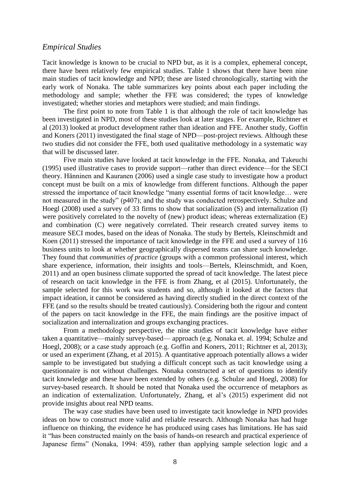#### *Empirical Studies*

Tacit knowledge is known to be crucial to NPD but, as it is a complex, ephemeral concept, there have been relatively few empirical studies. Table 1 shows that there have been nine main studies of tacit knowledge and NPD; these are listed chronologically, starting with the early work of Nonaka. The table summarizes key points about each paper including the methodology and sample; whether the FFE was considered; the types of knowledge investigated; whether stories and metaphors were studied; and main findings.

The first point to note from Table 1 is that although the role of tacit knowledge has been investigated in NPD, most of these studies look at later stages. For example, Richtner et al (2013) looked at product development rather than ideation and FFE. Another study, Goffin and Koners (2011) investigated the final stage of NPD—post-project reviews. Although these two studies did not consider the FFE, both used qualitative methodology in a systematic way that will be discussed later.

Five main studies have looked at tacit knowledge in the FFE. Nonaka, and Takeuchi (1995) used illustrative cases to provide support—rather than direct evidence—for the SECI theory. Hänninen and Kauranen (2006) used a single case study to investigate how a product concept must be built on a mix of knowledge from different functions. Although the paper stressed the importance of tacit knowledge "many essential forms of tacit knowledge… were not measured in the study" (p407); and the study was conducted retrospectively. Schulze and Hoegl (2008) used a survey of 33 firms to show that socialization (S) and internalization (I) were positively correlated to the novelty of (new) product ideas; whereas externalization (E) and combination (C) were negatively correlated. Their research created survey items to measure SECI modes, based on the ideas of Nonaka. The study by Bertels, Kleinschmidt and Koen (2011) stressed the importance of tacit knowledge in the FFE and used a survey of 116 business units to look at whether geographically dispersed teams can share such knowledge. They found that *communities of practice* (groups with a common professional interest, which share experience, information, their insights and tools—Bertels, Kleinschmidt, and Koen, 2011) and an open business climate supported the spread of tacit knowledge. The latest piece of research on tacit knowledge in the FFE is from Zhang, et al (2015). Unfortunately, the sample selected for this work was students and so, although it looked at the factors that impact ideation, it cannot be considered as having directly studied in the direct context of the FFE (and so the results should be treated cautiously). Considering both the rigour and content of the papers on tacit knowledge in the FFE, the main findings are the positive impact of socialization and internalization and groups exchanging practices.

From a methodology perspective, the nine studies of tacit knowledge have either taken a quantitative—mainly survey-based— approach (e.g. Nonaka et. al. 1994; Schulze and Hoegl, 2008); or a case study approach (e.g. Goffin and Koners, 2011; Richtner et al, 2013); or used an experiment (Zhang, et al 2015). A quantitative approach potentially allows a wider sample to be investigated but studying a difficult concept such as tacit knowledge using a questionnaire is not without challenges. Nonaka constructed a set of questions to identify tacit knowledge and these have been extended by others (e.g. Schulze and Hoegl, 2008) for survey-based research. It should be noted that Nonaka used the occurrence of metaphors as an indication of externalization. Unfortunately, Zhang, et al's (2015) experiment did not provide insights about real NPD teams.

The way case studies have been used to investigate tacit knowledge in NPD provides ideas on how to construct more valid and reliable research. Although Nonaka has had huge influence on thinking, the evidence he has produced using cases has limitations. He has said it "has been constructed mainly on the basis of hands-on research and practical experience of Japanese firms" (Nonaka, 1994: 459), rather than applying sample selection logic and a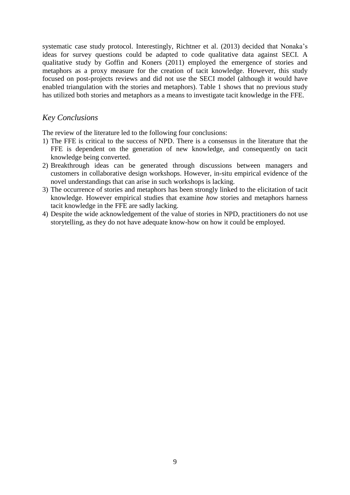systematic case study protocol. Interestingly, Richtner et al. (2013) decided that Nonaka's ideas for survey questions could be adapted to code qualitative data against SECI. A qualitative study by Goffin and Koners (2011) employed the emergence of stories and metaphors as a proxy measure for the creation of tacit knowledge. However, this study focused on post-projects reviews and did not use the SECI model (although it would have enabled triangulation with the stories and metaphors). Table 1 shows that no previous study has utilized both stories and metaphors as a means to investigate tacit knowledge in the FFE.

## *Key Conclusions*

The review of the literature led to the following four conclusions:

- 1) The FFE is critical to the success of NPD. There is a consensus in the literature that the FFE is dependent on the generation of new knowledge, and consequently on tacit knowledge being converted.
- 2) Breakthrough ideas can be generated through discussions between managers and customers in collaborative design workshops. However, in-situ empirical evidence of the novel understandings that can arise in such workshops is lacking.
- 3) The occurrence of stories and metaphors has been strongly linked to the elicitation of tacit knowledge. However empirical studies that examine *how* stories and metaphors harness tacit knowledge in the FFE are sadly lacking.
- 4) Despite the wide acknowledgement of the value of stories in NPD, practitioners do not use storytelling, as they do not have adequate know-how on how it could be employed.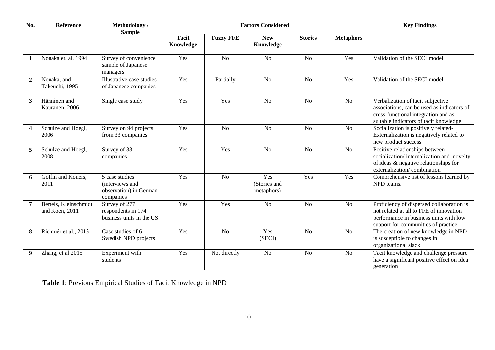| No.                     | <b>Reference</b>                        | Methodology /                                                            | <b>Factors Considered</b> |                  |                                   |                 |                  | <b>Key Findings</b>                                                                                                                                                    |  |
|-------------------------|-----------------------------------------|--------------------------------------------------------------------------|---------------------------|------------------|-----------------------------------|-----------------|------------------|------------------------------------------------------------------------------------------------------------------------------------------------------------------------|--|
|                         |                                         | <b>Sample</b>                                                            | <b>Tacit</b><br>Knowledge | <b>Fuzzy FFE</b> | <b>New</b><br>Knowledge           | <b>Stories</b>  | <b>Metaphors</b> |                                                                                                                                                                        |  |
| $\mathbf{1}$            | Nonaka et. al. 1994                     | Survey of convenience<br>sample of Japanese<br>managers                  | Yes                       | No               | N <sub>o</sub>                    | N <sub>o</sub>  | Yes              | Validation of the SECI model                                                                                                                                           |  |
| $\overline{2}$          | Nonaka, and<br>Takeuchi, 1995           | Illustrative case studies<br>of Japanese companies                       | Yes                       | Partially        | N <sub>o</sub>                    | N <sub>o</sub>  | Yes              | Validation of the SECI model                                                                                                                                           |  |
| $\mathbf{3}$            | Hänninen and<br>Kauranen, 2006          | Single case study                                                        | Yes                       | Yes              | N <sub>o</sub>                    | N <sub>o</sub>  | N <sub>o</sub>   | Verbalization of tacit subjective<br>associations, can be used as indicators of<br>cross-functional integration and as<br>suitable indicators of tacit knowledge       |  |
| $\overline{\mathbf{4}}$ | Schulze and Hoegl,<br>2006              | Survey on 94 projects<br>from 33 companies                               | Yes                       | $\overline{No}$  | $\overline{No}$                   | $\overline{No}$ | $\overline{No}$  | Socialization is positively related-<br>Externalization is negatively related to<br>new product success                                                                |  |
| 5                       | Schulze and Hoegl,<br>2008              | Survey of 33<br>companies                                                | Yes                       | Yes              | N <sub>o</sub>                    | No              | N <sub>o</sub>   | Positive relationships between<br>socialization/internalization and novelty<br>of ideas & negative relationships for<br>externalization/combination                    |  |
| 6                       | Goffin and Koners,<br>2011              | 5 case studies<br>(interviews and<br>observation) in German<br>companies | Yes                       | No               | Yes<br>(Stories and<br>metaphors) | Yes             | Yes              | Comprehensive list of lessons learned by<br>NPD teams.                                                                                                                 |  |
| $\overline{7}$          | Bertels, Kleinschmidt<br>and Koen, 2011 | Survey of 277<br>respondents in 174<br>business units in the US          | Yes                       | Yes              | No                                | No              | No               | Proficiency of dispersed collaboration is<br>not related at all to FFE of innovation<br>performance in business units with low<br>support for communities of practice. |  |
| 8                       | Richtnér et al., 2013                   | Case studies of 6<br>Swedish NPD projects                                | Yes                       | N <sub>o</sub>   | Yes<br>(SECI)                     | N <sub>o</sub>  | N <sub>o</sub>   | The creation of new knowledge in NPD<br>is susceptible to changes in<br>organizational slack                                                                           |  |
| 9                       | Zhang, et al 2015                       | Experiment with<br>students                                              | Yes                       | Not directly     | N <sub>o</sub>                    | N <sub>o</sub>  | <b>No</b>        | Tacit knowledge and challenge pressure<br>have a significant positive effect on idea<br>generation                                                                     |  |

**Table 1**: Previous Empirical Studies of Tacit Knowledge in NPD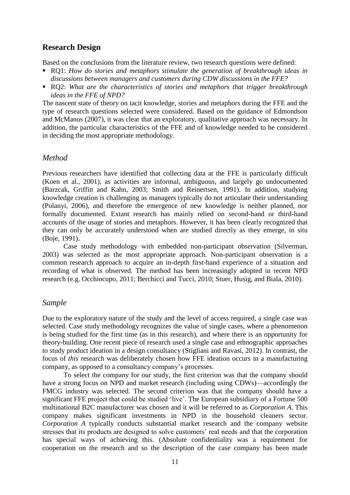## **Research Design**

Based on the conclusions from the literature review, two research questions were defined:

- RQ1: *How do stories and metaphors stimulate the generation of breakthrough ideas in discussions between managers and customers during CDW discussions in the FFE?*
- RQ2: *What are the characteristics of stories and metaphors that trigger breakthrough ideas in the FFE of NPD?*

The nascent state of theory on tacit knowledge, stories and metaphors during the FFE and the type of research questions selected were considered. Based on the guidance of Edmondson and McManus (2007), it was clear that an exploratory, qualitative approach was necessary. In addition, the particular characteristics of the FFE and of knowledge needed to be considered in deciding the most appropriate methodology.

## *Method*

Previous researchers have identified that collecting data at the FFE is particularly difficult (Koen et al., 2001), as activities are informal, ambiguous, and largely go undocumented (Barzcak, Griffin and Kahn, 2003; Smith and Reinertsen, 1991). In addition, studying knowledge creation is challenging as managers typically do not articulate their understanding (Polanyi, 2006), and therefore the emergence of new knowledge is neither planned, nor formally documented. Extant research has mainly relied on second-hand or third-hand accounts of the usage of stories and metaphors. However, it has been clearly recognized that they can only be accurately understood when are studied directly as they emerge, in situ (Boje, 1991).

Case study methodology with embedded non-participant observation (Silverman, 2003) was selected as the most appropriate approach. Non-participant observation is a common research approach to acquire an in-depth first-hand experience of a situation and recording of what is observed. The method has been increasingly adopted in recent NPD research (e.g. Occhiocupo, 2011; Berchicci and Tucci, 2010; Stuer, Husig, and Biala, 2010).

## *Sample*

Due to the exploratory nature of the study and the level of access required, a single case was selected. Case study methodology recognizes the value of single cases, where a phenomenon is being studied for the first time (as in this research), and where there is an opportunity for theory-building. One recent piece of research used a single case and ethnographic approaches to study product ideation in a design consultancy (Stigliani and Ravasi, 2012). In contrast, the focus of *this* research was deliberately chosen how FFE ideation occurs in a manufacturing company, as opposed to a consultancy company's processes.

To select the company for our study, the first criterion was that the company should have a strong focus on NPD and market research (including using CDWs)—accordingly the FMCG industry was selected. The second criterion was that the company should have a significant FFE project that could be studied 'live'. The European subsidiary of a Fortune 500 multinational B2C manufacturer was chosen and it will be referred to as *Corporation A*. This company makes significant investments in NPD in the household cleaners sector. *Corporation A* typically conducts substantial market research and the company website stresses that its products are designed to solve customers' real needs and that the corporation has special ways of achieving this. (Absolute confidentiality was a requirement for cooperation on the research and so the description of the case company has been made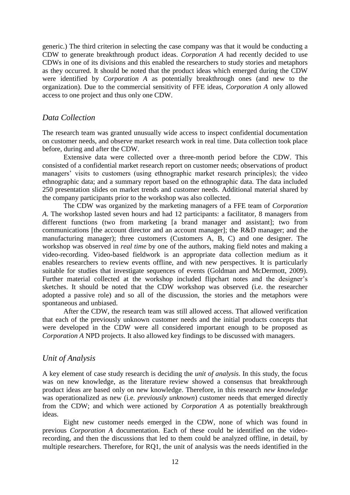generic.) The third criterion in selecting the case company was that it would be conducting a CDW to generate breakthrough product ideas. *Corporation A* had recently decided to use CDWs in one of its divisions and this enabled the researchers to study stories and metaphors as they occurred. It should be noted that the product ideas which emerged during the CDW were identified by *Corporation A* as potentially breakthrough ones (and new to the organization). Due to the commercial sensitivity of FFE ideas, *Corporation A* only allowed access to one project and thus only one CDW.

### *Data Collection*

The research team was granted unusually wide access to inspect confidential documentation on customer needs, and observe market research work in real time. Data collection took place before, during and after the CDW.

Extensive data were collected over a three-month period before the CDW. This consisted of a confidential market research report on customer needs; observations of product managers' visits to customers (using ethnographic market research principles); the video ethnographic data; and a summary report based on the ethnographic data. The data included 250 presentation slides on market trends and customer needs. Additional material shared by the company participants prior to the workshop was also collected.

The CDW was organized by the marketing managers of a FFE team of *Corporation A*. The workshop lasted seven hours and had 12 participants: a facilitator, 8 managers from different functions (two from marketing [a brand manager and assistant]; two from communications [the account director and an account manager]; the R&D manager; and the manufacturing manager); three customers (Customers A, B, C) and one designer. The workshop was observed in *real time* by one of the authors, making field notes and making a video-recording. Video-based fieldwork is an appropriate data collection medium as it enables researchers to review events offline, and with new perspectives. It is particularly suitable for studies that investigate sequences of events (Goldman and McDermott, 2009). Further material collected at the workshop included flipchart notes and the designer's sketches. It should be noted that the CDW workshop was observed (i.e. the researcher adopted a passive role) and so all of the discussion, the stories and the metaphors were spontaneous and unbiased.

After the CDW, the research team was still allowed access. That allowed verification that each of the previously unknown customer needs and the initial products concepts that were developed in the CDW were all considered important enough to be proposed as *Corporation A* NPD projects. It also allowed key findings to be discussed with managers.

### *Unit of Analysis*

A key element of case study research is deciding the *unit of analysis*. In this study, the focus was on new knowledge, as the literature review showed a consensus that breakthrough product ideas are based only on new knowledge. Therefore, in this research *new knowledge* was operationalized as new (i.e. *previously unknown*) customer needs that emerged directly from the CDW; and which were actioned by *Corporation A* as potentially breakthrough ideas.

Eight new customer needs emerged in the CDW, none of which was found in previous *Corporation A* documentation. Each of these could be identified on the videorecording, and then the discussions that led to them could be analyzed offline, in detail, by multiple researchers. Therefore, for RQ1, the unit of analysis was the needs identified in the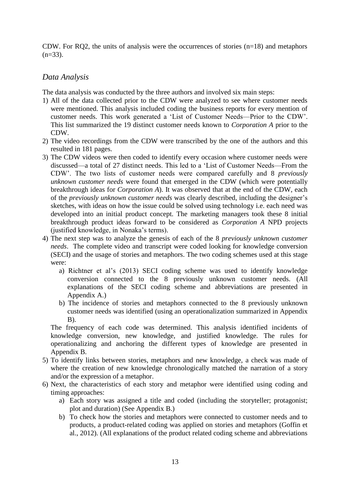CDW. For RQ2, the units of analysis were the occurrences of stories  $(n=18)$  and metaphors  $(n=33)$ .

## *Data Analysis*

The data analysis was conducted by the three authors and involved six main steps:

- 1) All of the data collected prior to the CDW were analyzed to see where customer needs were mentioned. This analysis included coding the business reports for every mention of customer needs. This work generated a 'List of Customer Needs—Prior to the CDW'. This list summarized the 19 distinct customer needs known to *Corporation A* prior to the CDW.
- 2) The video recordings from the CDW were transcribed by the one of the authors and this resulted in 181 pages.
- 3) The CDW videos were then coded to identify every occasion where customer needs were discussed—a total of 27 distinct needs. This led to a 'List of Customer Needs—From the CDW'. The two lists of customer needs were compared carefully and 8 *previously unknown customer needs* were found that emerged in the CDW (which were potentially breakthrough ideas for *Corporation A*). It was observed that at the end of the CDW, each of the *previously unknown customer needs* was clearly described, including the designer's sketches, with ideas on how the issue could be solved using technology i.e. each need was developed into an initial product concept. The marketing managers took these 8 initial breakthrough product ideas forward to be considered as *Corporation A* NPD projects (justified knowledge, in Nonaka's terms).
- 4) The next step was to analyze the genesis of each of the 8 *previously unknown customer needs*. The complete video and transcript were coded looking for knowledge conversion (SECI) and the usage of stories and metaphors. The two coding schemes used at this stage were:
	- a) Richtner et al's (2013) SECI coding scheme was used to identify knowledge conversion connected to the 8 previously unknown customer needs. (All explanations of the SECI coding scheme and abbreviations are presented in Appendix A.)
	- b) The incidence of stories and metaphors connected to the 8 previously unknown customer needs was identified (using an operationalization summarized in Appendix  $B$ ).

The frequency of each code was determined. This analysis identified incidents of knowledge conversion, new knowledge, and justified knowledge. The rules for operationalizing and anchoring the different types of knowledge are presented in Appendix B.

- 5) To identify links between stories, metaphors and new knowledge, a check was made of where the creation of new knowledge chronologically matched the narration of a story and/or the expression of a metaphor.
- 6) Next, the characteristics of each story and metaphor were identified using coding and timing approaches:
	- a) Each story was assigned a title and coded (including the storyteller; protagonist; plot and duration) (See Appendix B.)
	- b) To check how the stories and metaphors were connected to customer needs and to products, a product-related coding was applied on stories and metaphors (Goffin et al., 2012). (All explanations of the product related coding scheme and abbreviations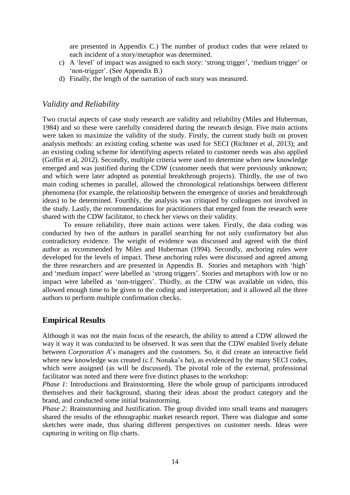are presented in Appendix C.) The number of product codes that were related to each incident of a story/metaphor was determined.

- c) A 'level' of impact was assigned to each story: 'strong trigger', 'medium trigger' or 'non-trigger'. (See Appendix B.)
- d) Finally, the length of the narration of each story was measured.

## *Validity and Reliability*

Two crucial aspects of case study research are validity and reliability (Miles and Huberman, 1984) and so these were carefully considered during the research design. Five main actions were taken to maximize the validity of the study. Firstly, the current study built on proven analysis methods: an existing coding scheme was used for SECI (Richtner et al, 2013); and an existing coding scheme for identifying aspects related to customer needs was also applied (Goffin et al, 2012). Secondly, multiple criteria were used to determine when new knowledge emerged and was justified during the CDW (customer needs that were previously unknown; and which were later adopted as potential breakthrough projects). Thirdly, the use of two main coding schemes in parallel, allowed the chronological relationships between different phenomena (for example, the relationship between the emergence of stories and breakthrough ideas) to be determined. Fourthly, the analysis was critiqued by colleagues not involved in the study. Lastly, the recommendations for practitioners that emerged from the research were shared with the CDW facilitator, to check her views on their validity.

To ensure reliability, three main actions were taken. Firstly, the data coding was conducted by two of the authors in parallel searching for not only confirmatory but also contradictory evidence. The weight of evidence was discussed and agreed with the third author as recommended by Miles and Huberman (1994). Secondly, anchoring rules were developed for the levels of impact. These anchoring rules were discussed and agreed among the three researchers and are presented in Appendix B. Stories and metaphors with 'high' and 'medium impact' were labelled as 'strong triggers'. Stories and metaphors with low or no impact were labelled as 'non-triggers'. Thirdly, as the CDW was available on video, this allowed enough time to be given to the coding and interpretation; and it allowed all the three authors to perform multiple confirmation checks.

## **Empirical Results**

Although it was not the main focus of the research, the ability to attend a CDW allowed the way it way it was conducted to be observed. It was seen that the CDW enabled lively debate between *Corporation A*'s managers and the customers. So, it did create an interactive field where new knowledge was created (c.f. Nonaka's *ba*), as evidenced by the many SECI codes, which were assigned (as will be discussed). The pivotal role of the external, professional facilitator was noted and there were five distinct phases to the workshop:

*Phase 1:* Introductions and Brainstorming. Here the whole group of participants introduced themselves and their background, sharing their ideas about the product category and the brand, and conducted some initial brainstorming.

*Phase 2:* Brainstorming and Justification. The group divided into small teams and managers shared the results of the ethnographic market research report. There was dialogue and some sketches were made, thus sharing different perspectives on customer needs. Ideas were capturing in writing on flip charts.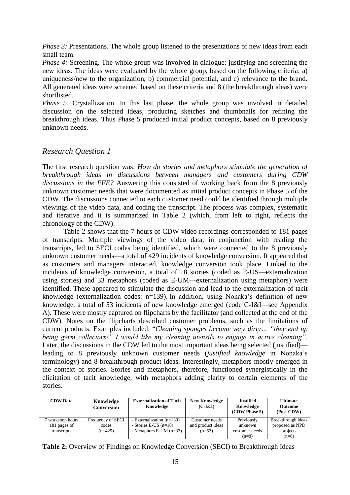*Phase 3:* Presentations. The whole group listened to the presentations of new ideas from each small team.

*Phase 4:* Screening. The whole group was involved in dialogue: justifying and screening the new ideas. The ideas were evaluated by the whole group, based on the following criteria: a) uniqueness/new to the organization, b) commercial potential, and c) relevance to the brand. All generated ideas were screened based on these criteria and 8 (the breakthrough ideas) were shortlisted.

*Phase 5*. Crystallization. In this last phase, the whole group was involved in detailed discussion on the selected ideas, producing sketches and thumbnails for refining the breakthrough ideas. Thus Phase 5 produced initial product concepts, based on 8 previously unknown needs.

## *Research Question 1*

The first research question was: *How do stories and metaphors stimulate the generation of breakthrough ideas in discussions between managers and customers during CDW discussions in the FFE?* Answering this consisted of working back from the 8 previously unknown customer needs that were documented as initial product concepts in Phase 5 of the CDW. The discussions connected to each customer need could be identified through multiple viewings of the video data, and coding the transcript. The process was complex, systematic and iterative and it is summarized in Table 2 (which, from left to right, reflects the chronology of the CDW).

Table 2 shows that the 7 hours of CDW video recordings corresponded to 181 pages of transcripts. Multiple viewings of the video data, in conjunction with reading the transcripts, led to SECI codes being identified, which were connected to the 8 previously unknown customer needs—a total of 429 incidents of knowledge conversion. It appeared that as customers and managers interacted, knowledge conversion took place. Linked to the incidents of knowledge conversion, a total of 18 stories (coded as E-US—externalization using stories) and 33 metaphors (coded as E-UM—externalization using metaphors) were identified. These appeared to stimulate the discussion and lead to the externalization of tacit knowledge (externalization codes: n=139). In addition, using Nonaka's definition of new knowledge, a total of 53 incidents of new knowledge emerged (code C-I&I—see Appendix A). These were mostly captured on flipcharts by the facilitator (and collected at the end of the CDW). Notes on the flipcharts described customer problems, such as the limitations of current products. Examples included: "*Cleaning sponges become very dirty… "they end up being germ collectors!" I would like my cleaning utensils to engage in active cleaning"*. Later, the discussions in the CDW led to the most important ideas being selected (justified) leading to 8 previously unknown customer needs (*justified knowledge* in Nonaka's terminology) and 8 breakthrough product ideas. Interestingly, metaphors mostly emerged in the context of stories. Stories and metaphors, therefore, functioned synergistically in the elicitation of tacit knowledge, with metaphors adding clarity to certain elements of the stories.

| <b>CDW</b> Data                               | Knowledge<br>Conversion                 | <b>Externalization of Tacit</b><br>Knowledge                                        | <b>New Knowledge</b><br>$(C-I&I)$               | <b>Justified</b><br>Knowledge<br>(CDW Phase 5)     | <b>Ultimate</b><br><b>Outcome</b><br>(Post CDW)              |
|-----------------------------------------------|-----------------------------------------|-------------------------------------------------------------------------------------|-------------------------------------------------|----------------------------------------------------|--------------------------------------------------------------|
| workshop hours<br>181 pages of<br>transcripts | Frequency of SECI<br>codes<br>$(n=429)$ | - Externalization $(n=139)$<br>- Stories E-US $(n=18)$<br>- Metaphors E-UM $(n=33)$ | Customer needs<br>and product ideas<br>$(n=53)$ | Previously<br>unknown<br>customer needs<br>$(n=8)$ | Breakthrough ideas<br>proposed as NPD<br>projects<br>$(n=8)$ |

**Table 2:** Overview of Findings on Knowledge Conversion (SECI) to Breakthrough Ideas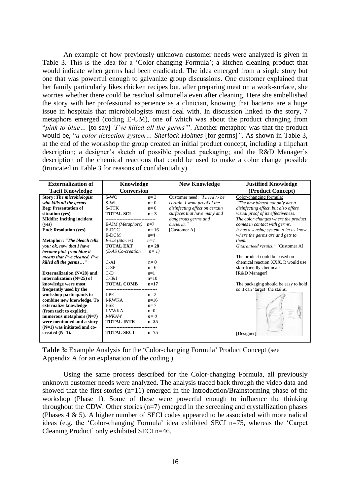An example of how previously unknown customer needs were analyzed is given in Table 3. This is the idea for a 'Color-changing Formula'; a kitchen cleaning product that would indicate when germs had been eradicated. The idea emerged from a single story but one that was powerful enough to galvanize group discussions. One customer explained that her family particularly likes chicken recipes but, after preparing meat on a work-surface, she worries whether there could be residual salmonella even after cleaning. Here she embellished the story with her professional experience as a clinician, knowing that bacteria are a huge issue in hospitals that microbiologists must deal with. In discussion linked to the story, 7 metaphors emerged (coding E-UM), one of which was about the product changing from "*pink to blue…* [to say] *'I've killed all the germs'*". Another metaphor was that the product would be, "*a color detection system… Sherlock Holmes* [for germs]*"*. As shown in Table 3, at the end of the workshop the group created an initial product concept, including a flipchart description; a designer's sketch of possible product packaging; and the R&D Manager's description of the chemical reactions that could be used to make a color change possible (truncated in Table 3 for reasons of confidentiality).

| <b>Externalization of</b>          | Knowledge         |          | <b>New Knowledge</b>           | <b>Justified Knowledge</b>                                                                                                                                                                                                                                                                                                                                                                                                           |  |
|------------------------------------|-------------------|----------|--------------------------------|--------------------------------------------------------------------------------------------------------------------------------------------------------------------------------------------------------------------------------------------------------------------------------------------------------------------------------------------------------------------------------------------------------------------------------------|--|
| <b>Tacit Knowledge</b>             | Conversion        |          |                                | (Product Concept)                                                                                                                                                                                                                                                                                                                                                                                                                    |  |
| <b>Story: The microbiologist</b>   | S-WO              | $n = 3$  | Customer need: "I need to be   | Color-changing formula:                                                                                                                                                                                                                                                                                                                                                                                                              |  |
| who kills all the germs            | S-WI              | $n=0$    | certain, I want proof of the   | "The new bleach not only has a                                                                                                                                                                                                                                                                                                                                                                                                       |  |
| <b>Beg: Presentation of</b>        | S-TTK             | $n=0$    | disinfecting effect on certain | disinfecting effect, but also offers                                                                                                                                                                                                                                                                                                                                                                                                 |  |
| situation (yes)                    | <b>TOTAL SCL</b>  | $n=3$    | surfaces that have many and    | visual proof of its effectiveness.                                                                                                                                                                                                                                                                                                                                                                                                   |  |
| <b>Middle: Inciting incident</b>   |                   |          | dangerous germs and            | The color changes where the product                                                                                                                                                                                                                                                                                                                                                                                                  |  |
| ( <b>ves</b> )                     | E-UM (Metaphors)  | $n=7$    | <i>hacteria.</i> "             | comes in contact with germs.                                                                                                                                                                                                                                                                                                                                                                                                         |  |
| <b>End: Resolution (yes)</b>       | E-DCC             | $n = 16$ | [Customer A]                   | It has a sensing system to let us know                                                                                                                                                                                                                                                                                                                                                                                               |  |
|                                    | E-DCM             | $n=4$    |                                | where the germs are and gets to                                                                                                                                                                                                                                                                                                                                                                                                      |  |
| <b>Metaphor: "The bleach tells</b> | E-US (Stories)    | $n=1$    |                                | them.                                                                                                                                                                                                                                                                                                                                                                                                                                |  |
| you: ok, now that I have           | <b>TOTAL EXT</b>  | $n=28$   |                                | Guaranteed results." [Customer A]                                                                                                                                                                                                                                                                                                                                                                                                    |  |
| become pink from blue it           | (E-AS Co-creation | $n=1$    |                                |                                                                                                                                                                                                                                                                                                                                                                                                                                      |  |
| means that I've cleaned, I've      |                   |          |                                | The product could be based on                                                                                                                                                                                                                                                                                                                                                                                                        |  |
| killed all the germs"              | $C-AI$            | $n=0$    |                                | chemical reaction XXX. It would use                                                                                                                                                                                                                                                                                                                                                                                                  |  |
|                                    | $C-SP$            | $n=6$    |                                | skin-friendly chemicals.                                                                                                                                                                                                                                                                                                                                                                                                             |  |
| Externalization $(N=28)$ and       | $C-D$             | $n=1$    |                                | [R&D Manager]                                                                                                                                                                                                                                                                                                                                                                                                                        |  |
| internalization $(N=25)$ of        | $C-I&I$           | $n=10$   |                                |                                                                                                                                                                                                                                                                                                                                                                                                                                      |  |
| knowledge were most                | <b>TOTAL COMB</b> | $n=17$   |                                | The packaging should be easy to hold                                                                                                                                                                                                                                                                                                                                                                                                 |  |
| frequently used by the             |                   |          |                                | so it can 'target' the stains.                                                                                                                                                                                                                                                                                                                                                                                                       |  |
| workshop participants to           | I-PE              | $n=2$    |                                |                                                                                                                                                                                                                                                                                                                                                                                                                                      |  |
| combine new knowledge. To          | <b>I-RWKA</b>     | $n=16$   |                                |                                                                                                                                                                                                                                                                                                                                                                                                                                      |  |
| externalize knowledge              | $I-SE$            | $n=7$    |                                |                                                                                                                                                                                                                                                                                                                                                                                                                                      |  |
| (from tacit to explicit),          | <b>I-VWKA</b>     | $n=0$    |                                |                                                                                                                                                                                                                                                                                                                                                                                                                                      |  |
| numerous metaphors $(N=7)$         | I-NKAW            | $n=0$    |                                | $\begin{array}{l} \mathbb{R}^{n+1}\\ \mathbb{R}^{n}\\ \mathbb{R}^{n}\\ \mathbb{R}^{n}\\ \mathbb{R}^{n}\\ \mathbb{R}^{n}\\ \mathbb{R}^{n}\\ \mathbb{R}^{n}\\ \mathbb{R}^{n}\\ \mathbb{R}^{n}\\ \mathbb{R}^{n}\\ \mathbb{R}^{n}\\ \mathbb{R}^{n}\\ \mathbb{R}^{n}\\ \mathbb{R}^{n}\\ \mathbb{R}^{n}\\ \mathbb{R}^{n}\\ \mathbb{R}^{n}\\ \mathbb{R}^{n}\\ \mathbb{R}^{n}\\ \mathbb{R}^{n}\\ \mathbb{R}^{n}\\ \mathbb{R}^{n}\\ \mathbb{$ |  |
| were mentioned and a story         | <b>TOTAL INTR</b> | $n=25$   |                                |                                                                                                                                                                                                                                                                                                                                                                                                                                      |  |
| $(N=1)$ was initiated and co-      |                   |          |                                |                                                                                                                                                                                                                                                                                                                                                                                                                                      |  |
| created $(N=1)$ .                  | <b>TOTAL SECI</b> | $n=75$   |                                | [Designer]                                                                                                                                                                                                                                                                                                                                                                                                                           |  |
|                                    |                   |          |                                |                                                                                                                                                                                                                                                                                                                                                                                                                                      |  |

**Table 3:** Example Analysis for the 'Color-changing Formula' Product Concept (see Appendix A for an explanation of the coding.)

Using the same process described for the Color-changing Formula, all previously unknown customer needs were analyzed. The analysis traced back through the video data and showed that the first stories  $(n=11)$  emerged in the Introduction/Brainstorming phase of the workshop (Phase 1). Some of these were powerful enough to influence the thinking throughout the CDW. Other stories  $(n=7)$  emerged in the screening and crystallization phases (Phases 4 & 5). A higher number of SECI codes appeared to be associated with more radical ideas (e.g. the 'Color-changing Formula' idea exhibited SECI n=75, whereas the 'Carpet Cleaning Product' only exhibited SECI n=46.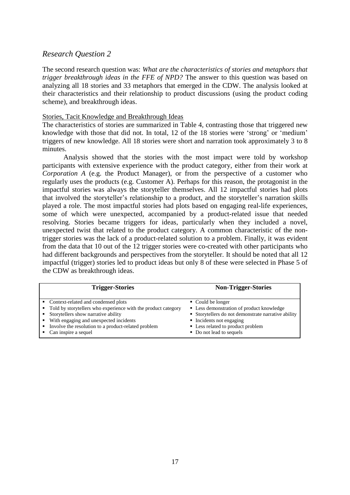## *Research Question 2*

The second research question was: *What are the characteristics of stories and metaphors that trigger breakthrough ideas in the FFE of NPD?* The answer to this question was based on analyzing all 18 stories and 33 metaphors that emerged in the CDW. The analysis looked at their characteristics and their relationship to product discussions (using the product coding scheme), and breakthrough ideas.

#### Stories, Tacit Knowledge and Breakthrough Ideas

The characteristics of stories are summarized in Table 4, contrasting those that triggered new knowledge with those that did not. In total, 12 of the 18 stories were 'strong' or 'medium' triggers of new knowledge. All 18 stories were short and narration took approximately 3 to 8 minutes.

Analysis showed that the stories with the most impact were told by workshop participants with extensive experience with the product category, either from their work at *Corporation A* (e.g. the Product Manager)*,* or from the perspective of a customer who regularly uses the products (e.g. Customer A). Perhaps for this reason, the protagonist in the impactful stories was always the storyteller themselves. All 12 impactful stories had plots that involved the storyteller's relationship to a product, and the storyteller's narration skills played a role. The most impactful stories had plots based on engaging real-life experiences, some of which were unexpected, accompanied by a product-related issue that needed resolving. Stories became triggers for ideas, particularly when they included a novel, unexpected twist that related to the product category. A common characteristic of the nontrigger stories was the lack of a product-related solution to a problem. Finally, it was evident from the data that 10 out of the 12 trigger stories were co-created with other participants who had different backgrounds and perspectives from the storyteller. It should be noted that all 12 impactful (trigger) stories led to product ideas but only 8 of these were selected in Phase 5 of the CDW as breakthrough ideas.

| <b>Trigger-Stories</b>                                          | <b>Non-Trigger-Stories</b>                          |
|-----------------------------------------------------------------|-----------------------------------------------------|
| • Context-related and condensed plots                           | • Could be longer                                   |
| • Told by storytellers who experience with the product category | • Less demonstration of product knowledge           |
| • Storytellers show narrative ability                           | • Storytellers do not demonstrate narrative ability |
| • With engaging and unexpected incidents                        | • Incidents not engaging                            |
| • Involve the resolution to a product-related problem           | • Less related to product problem                   |
| • Can inspire a sequel                                          | • Do not lead to sequels                            |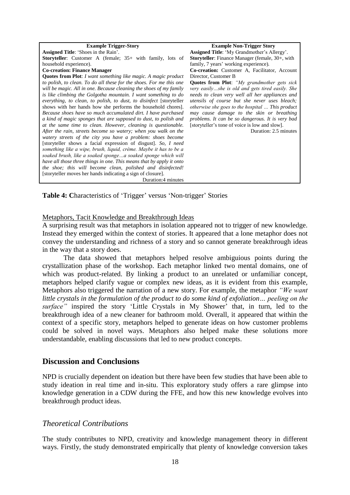| <b>Example Trigger-Story</b>                                                 | <b>Example Non-Trigger Story</b>                       |
|------------------------------------------------------------------------------|--------------------------------------------------------|
| <b>Assigned Title: 'Shoes in the Rain'.</b>                                  | <b>Assigned Title:</b> 'My Grandmother's Allergy'.     |
| <b>Storyteller:</b> Customer A (female; $35+$ with family, lots of           | <b>Storyteller:</b> Finance Manager (female, 30+, with |
| household experience).                                                       | family, 7 years' working experience).                  |
| <b>Co-creation: Finance Manager</b>                                          | <b>Co-creation:</b> Customer A, Facilitator, Account   |
| <b>Quotes from Plot:</b> <i>I want something like magic. A magic product</i> | Director, Customer B                                   |
| to polish, to clean. To do all these for the shoes. For me this one          | <b>Quotes from Plot:</b> "My grandmother gets sick"    |
| will be magic. All in one. Because cleaning the shoes of my family           | very easilyshe is old and gets tired easily. She       |
| is like climbing the Golgotha mountain. I want something to do               | needs to clean very well all her appliances and        |
| everything, to clean, to polish, to dust, to disinfect [storyteller          | <i>utensils of course but she never uses bleach</i> ;  |
| shows with her hands how she performs the household chores.                  | otherwise she goes to the hospital  This product       |
| Because shoes have so much accumulated dirt. I have purchased                | may cause damage to the skin or breathing              |
| a kind of magic sponges that are supposed to dust, to polish and             | problems. It can be so dangerous. It is very bad       |
| at the same time to clean. However, cleaning is questionable.                | [storyteller's tone of voice is low and slow].         |
| After the rain, streets become so watery; when you walk on the               | Duration: 2.5 minutes                                  |
| watery streets of the city you have a problem: shoes become                  |                                                        |
| [storyteller shows a facial expression of disgust]. So, I need               |                                                        |
| something like a wipe, brush, liquid, crème. Maybe it has to be a            |                                                        |
| soaked brush, like a soaked spongea soaked sponge which will                 |                                                        |
| have all those three things in one. This means that by apply it onto         |                                                        |
| the shoe; this will become clean, polished and disinfected!                  |                                                        |
| [storyteller moves her hands indicating a sign of closure].                  |                                                        |
| Duration:4 minutes                                                           |                                                        |
|                                                                              |                                                        |

**Table 4: C**haracteristics of 'Trigger' versus 'Non-trigger' Stories

#### Metaphors, Tacit Knowledge and Breakthrough Ideas

A surprising result was that metaphors in isolation appeared not to trigger of new knowledge. Instead they emerged within the context of stories. It appeared that a lone metaphor does not convey the understanding and richness of a story and so cannot generate breakthrough ideas in the way that a story does.

The data showed that metaphors helped resolve ambiguious points during the crystallization phase of the workshop. Each metaphor linked two mental domains, one of which was product-related. By linking a product to an unrelated or unfamiliar concept, metaphors helped clarify vague or complex new ideas, as it is evident from this example, Metaphors also triggered the narration of a new story. For example, the metaphor *"We want little crystals in the formulation of the product to do some kind of exfoliation… peeling on the surface"* inspired the story 'Little Crystals in My Shower' that, in turn, led to the breakthrough idea of a new cleaner for bathroom mold. Overall, it appeared that within the context of a specific story, metaphors helped to generate ideas on how customer problems could be solved in novel ways. Metaphors also helped make these solutions more understandable, enabling discussions that led to new product concepts.

## **Discussion and Conclusions**

NPD is crucially dependent on ideation but there have been few studies that have been able to study ideation in real time and in-situ. This exploratory study offers a rare glimpse into knowledge generation in a CDW during the FFE, and how this new knowledge evolves into breakthrough product ideas.

## *Theoretical Contributions*

The study contributes to NPD, creativity and knowledge management theory in different ways. Firstly, the study demonstrated empirically that plenty of knowledge conversion takes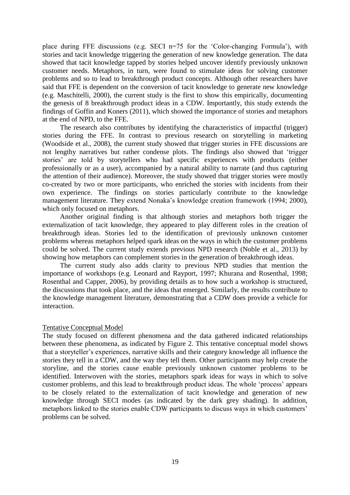place during FFE discussions (e.g. SECI n=75 for the 'Color-changing Formula'), with stories and tacit knowledge triggering the generation of new knowledge generation. The data showed that tacit knowledge tapped by stories helped uncover identify previously unknown customer needs. Metaphors, in turn, were found to stimulate ideas for solving customer problems and so to lead to breakthrough product concepts. Although other researchers have said that FFE is dependent on the conversion of tacit knowledge to generate new knowledge (e.g. Maschitelli, 2000), the current study is the first to show this empirically, documenting the genesis of 8 breakthrough product ideas in a CDW. Importantly, this study extends the findings of Goffin and Koners (2011), which showed the importance of stories and metaphors at the end of NPD, to the FFE.

The research also contributes by identifying the characteristics of impactful (trigger) stories during the FFE. In contrast to previous research on storytelling in marketing (Woodside et al., 2008), the current study showed that trigger stories in FFE discussions are not lengthy narratives but rather condense plots. The findings also showed that 'trigger stories' are told by storytellers who had specific experiences with products (either professionally or as a user), accompanied by a natural ability to narrate (and thus capturing the attention of their audience). Moreover, the study showed that trigger stories were mostly co-created by two or more participants, who enriched the stories with incidents from their own experience. The findings on stories particularly contribute to the knowledge management literature. They extend Nonaka's knowledge creation framework (1994; 2000), which only focused on metaphors.

Another original finding is that although stories and metaphors both trigger the externalization of tacit knowledge, they appeared to play different roles in the creation of breakthrough ideas. Stories led to the identification of previously unknown customer problems whereas metaphors helped spark ideas on the ways in which the customer problems could be solved. The current study extends previous NPD research (Noble et al., 2013) by showing how metaphors can complement stories in the generation of breakthrough ideas.

The current study also adds clarity to previous NPD studies that mention the importance of workshops (e.g. Leonard and Rayport, 1997; Khurana and Rosenthal, 1998; Rosenthal and Capper, 2006), by providing details as to how such a workshop is structured, the discussions that took place, and the ideas that emerged. Similarly, the results contribute to the knowledge management literature, demonstrating that a CDW does provide a vehicle for interaction.

#### Tentative Conceptual Model

The study focused on different phenomena and the data gathered indicated relationships between these phenomena, as indicated by Figure 2. This tentative conceptual model shows that a storyteller's experiences, narrative skills and their category knowledge all influence the stories they tell in a CDW, and the way they tell them. Other participants may help create the storyline, and the stories cause enable previously unknown customer problems to be identified. Interwoven with the stories, metaphors spark ideas for ways in which to solve customer problems, and this lead to breakthrough product ideas. The whole 'process' appears to be closely related to the externalization of tacit knowledge and generation of new knowledge through SECI modes (as indicated by the dark grey shading). In addition, metaphors linked to the stories enable CDW participants to discuss ways in which customers' problems can be solved.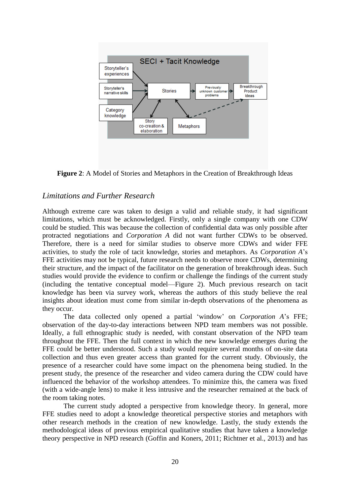

**Figure 2**: A Model of Stories and Metaphors in the Creation of Breakthrough Ideas

## *Limitations and Further Research*

Although extreme care was taken to design a valid and reliable study, it had significant limitations, which must be acknowledged. Firstly, only a single company with one CDW could be studied. This was because the collection of confidential data was only possible after protracted negotiations and *Corporation A* did not want further CDWs to be observed. Therefore, there is a need for similar studies to observe more CDWs and wider FFE activities, to study the role of tacit knowledge, stories and metaphors. As *Corporation A*'s FFE activities may not be typical, future research needs to observe more CDWs, determining their structure, and the impact of the facilitator on the generation of breakthrough ideas. Such studies would provide the evidence to confirm or challenge the findings of the current study (including the tentative conceptual model—Figure 2). Much previous research on tacit knowledge has been via survey work, whereas the authors of this study believe the real insights about ideation must come from similar in-depth observations of the phenomena as they occur.

The data collected only opened a partial 'window' on *Corporation A*'s FFE; observation of the day-to-day interactions between NPD team members was not possible. Ideally, a full ethnographic study is needed, with constant observation of the NPD team throughout the FFE. Then the full context in which the new knowledge emerges during the FFE could be better understood. Such a study would require several months of on-site data collection and thus even greater access than granted for the current study. Obviously, the presence of a researcher could have some impact on the phenomena being studied. In the present study, the presence of the researcher and video camera during the CDW could have influenced the behavior of the workshop attendees. To minimize this, the camera was fixed (with a wide-angle lens) to make it less intrusive and the researcher remained at the back of the room taking notes.

The current study adopted a perspective from knowledge theory. In general, more FFE studies need to adopt a knowledge theoretical perspective stories and metaphors with other research methods in the creation of new knowledge. Lastly, the study extends the methodological ideas of previous empirical qualitative studies that have taken a knowledge theory perspective in NPD research (Goffin and Koners, 2011; Richtner et al., 2013) and has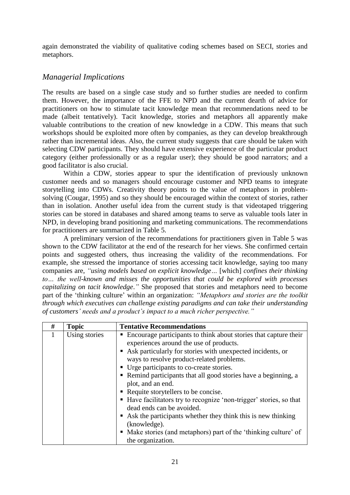again demonstrated the viability of qualitative coding schemes based on SECI, stories and metaphors.

## *Managerial Implications*

The results are based on a single case study and so further studies are needed to confirm them. However, the importance of the FFE to NPD and the current dearth of advice for practitioners on how to stimulate tacit knowledge mean that recommendations need to be made (albeit tentatively). Tacit knowledge, stories and metaphors all apparently make valuable contributions to the creation of new knowledge in a CDW. This means that such workshops should be exploited more often by companies, as they can develop breakthrough rather than incremental ideas. Also, the current study suggests that care should be taken with selecting CDW participants. They should have extensive experience of the particular product category (either professionally or as a regular user); they should be good narrators; and a good facilitator is also crucial.

Within a CDW, stories appear to spur the identification of previously unknown customer needs and so managers should encourage customer and NPD teams to integrate storytelling into CDWs. Creativity theory points to the value of metaphors in problemsolving (Cougar, 1995) and so they should be encouraged within the context of stories, rather than in isolation. Another useful idea from the current study is that videotaped triggering stories can be stored in databases and shared among teams to serve as valuable tools later in NPD, in developing brand positioning and marketing communications. The recommendations for practitioners are summarized in Table 5.

A preliminary version of the recommendations for practitioners given in Table 5 was shown to the CDW facilitator at the end of the research for her views. She confirmed certain points and suggested others, thus increasing the validity of the recommendations. For example, she stressed the importance of stories accessing tacit knowledge, saying too many companies are, *"using models based on explicit knowledge…* [which] *confines their thinking to… the well-known and misses the opportunities that could be explored with processes capitalizing on tacit knowledge*.*"* She proposed that stories and metaphors need to become part of the 'thinking culture' within an organization: *"Metaphors and stories are the toolkit through which executives can challenge existing paradigms and can take their understanding of customers' needs and a product's impact to a much richer perspective."*

| # | <b>Topic</b>  | <b>Tentative Recommendations</b>                                    |
|---|---------------|---------------------------------------------------------------------|
|   | Using stories | • Encourage participants to think about stories that capture their  |
|   |               | experiences around the use of products.                             |
|   |               | • Ask particularly for stories with unexpected incidents, or        |
|   |               | ways to resolve product-related problems.                           |
|   |               | • Urge participants to co-create stories.                           |
|   |               | Remind participants that all good stories have a beginning, a       |
|   |               | plot, and an end.                                                   |
|   |               | Requite storytellers to be concise.                                 |
|   |               | • Have facilitators try to recognize 'non-trigger' stories, so that |
|   |               | dead ends can be avoided.                                           |
|   |               | • Ask the participants whether they think this is new thinking      |
|   |               | (knowledge).                                                        |
|   |               | • Make stories (and metaphors) part of the 'thinking culture' of    |
|   |               | the organization.                                                   |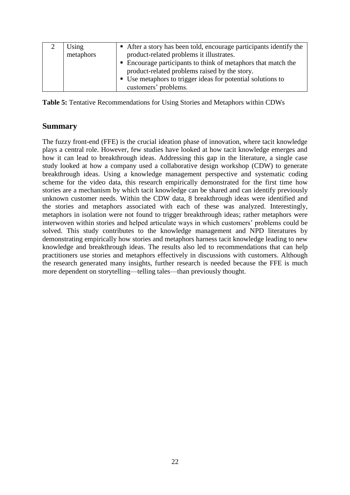| Using     | • After a story has been told, encourage participants identify the |
|-----------|--------------------------------------------------------------------|
| metaphors | product-related problems it illustrates.                           |
|           | • Encourage participants to think of metaphors that match the      |
|           | product-related problems raised by the story.                      |
|           | • Use metaphors to trigger ideas for potential solutions to        |
|           | customers' problems.                                               |

**Table 5:** Tentative Recommendations for Using Stories and Metaphors within CDWs

## **Summary**

The fuzzy front-end (FFE) is the crucial ideation phase of innovation, where tacit knowledge plays a central role. However, few studies have looked at how tacit knowledge emerges and how it can lead to breakthrough ideas. Addressing this gap in the literature, a single case study looked at how a company used a collaborative design workshop (CDW) to generate breakthrough ideas. Using a knowledge management perspective and systematic coding scheme for the video data, this research empirically demonstrated for the first time how stories are a mechanism by which tacit knowledge can be shared and can identify previously unknown customer needs. Within the CDW data, 8 breakthrough ideas were identified and the stories and metaphors associated with each of these was analyzed. Interestingly, metaphors in isolation were not found to trigger breakthrough ideas; rather metaphors were interwoven within stories and helped articulate ways in which customers' problems could be solved. This study contributes to the knowledge management and NPD literatures by demonstrating empirically how stories and metaphors harness tacit knowledge leading to new knowledge and breakthrough ideas. The results also led to recommendations that can help practitioners use stories and metaphors effectively in discussions with customers. Although the research generated many insights, further research is needed because the FFE is much more dependent on storytelling—telling tales—than previously thought.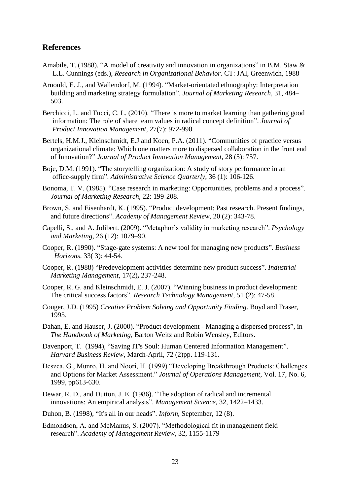## **References**

- Amabile, T. (1988). "A model of creativity and innovation in organizations" in B.M. Staw & L.L. Cunnings (eds.), *Research in Organizational Behavior.* CT: JAI, Greenwich, 1988
- Arnould, E. J., and Wallendorf, M. (1994). "Market-orientated ethnography: Interpretation building and marketing strategy formulation". *Journal of Marketing Research*, 31, 484– 503.
- Berchicci, L. and Tucci, C. L. (2010). "There is more to market learning than gathering good information: The role of share team values in radical concept definition". *Journal of Product Innovation Management,* 27(7): 972-990.
- Bertels, H.M.J., Kleinschmidt, E.J and Koen, P.A. (2011). "Communities of practice versus organizational climate: Which one matters more to dispersed collaboration in the front end of Innovation?" *Journal of Product Innovation Management,* 28 (5): 757.
- Boje, D.M. (1991). "The storytelling organization: A study of story performance in an office-supply firm". *Administrative Science Quarterly*, 36 (1): 106-126.
- Bonoma, T. V. (1985). "Case research in marketing: Opportunities, problems and a process". *Journal of Marketing Research*, 22: 199-208.
- Brown, S. and Eisenhardt, K. (1995). "Product development: Past research. Present findings, and future directions". *Academy of Management Review,* 20 (2): 343-78.
- Capelli, S., and A. Jolibert. (2009). "Metaphor's validity in marketing research". *Psychology and Marketing,* 26 (12): 1079–90.
- Cooper, R. (1990). "Stage-gate systems: A new tool for managing new products". *Business Horizons,* 33( 3): 44-54.
- Cooper, R. (1988) "Predevelopment activities determine new product success". *Industrial Marketing Management,* 17(2)**,** 237-248.
- Cooper, R. G. and Kleinschmidt, E. J. (2007). "Winning business in product development: The critical success factors". *Research Technology Management*, 51 (2): 47-58.
- Couger, J.D. (1995) *Creative Problem Solving and Opportunity Finding*. Boyd and Fraser, 1995.
- Dahan, E. and Hauser, J. (2000). "Product development Managing a dispersed process", in *The Handbook of Marketing,* Barton Weitz and Robin Wensley, Editors.
- Davenport, T. (1994), "Saving IT's Soul: Human Centered Information Management". *Harvard Business Review*, March-April, 72 (2)pp. 119-131.
- Deszca, G., Munro, H. and Noori, H. (1999) "Developing Breakthrough Products: Challenges and Options for Market Assessment." *Journal of Operations Management*, Vol. 17, No. 6, 1999, pp613-630.
- Dewar, R. D., and Dutton, J. E. (1986). "The adoption of radical and incremental innovations: An empirical analysis". *Management Science*, 32, 1422–1433.
- Duhon, B. (1998), "It's all in our heads". *Inform*, September, 12 (8).
- Edmondson, A. and McManus, S. (2007). "Methodological fit in management field research". *Academy of Management Review*, 32, 1155-1179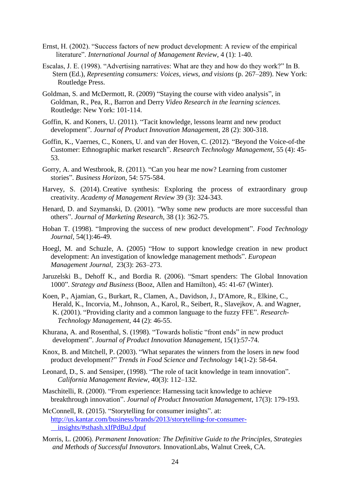- Ernst, H. (2002). "Success factors of new product development: A review of the empirical literature". *International Journal of Management Review,* 4 (1): 1-40.
- Escalas, J. E. (1998). "Advertising narratives: What are they and how do they work?" In B. Stern (Ed.), *Representing consumers: Voices, views, and visions* (p. 267–289). New York: Routledge Press.
- Goldman, S. and McDermott, R. (2009) "Staying the course with video analysis", in Goldman, R., Pea, R., Barron and Derry *Video Research in the learning sciences.* Routledge: New York: 101-114.
- Goffin, K. and Koners, U. (2011). "Tacit knowledge, lessons learnt and new product development". *Journal of Product Innovation Managem*ent, 28 (2): 300-318.
- Goffin, K., Vaernes, C., Koners, U. and van der Hoven, C. (2012). "Beyond the Voice-of-the Customer: Ethnographic market research". *Research Technology Management,* 55 (4): 45- 53.
- Gorry, A. and Westbrook, R. (2011). "Can you hear me now? Learning from customer stories". *Business Horizon*, 54: 575-584.
- Harvey, S. (2014). [Creative synthesis: Exploring the process of extraordinary group](http://dx.doi.org/10.5465/amr.2012.0224)  [creativity.](http://dx.doi.org/10.5465/amr.2012.0224) *Academy of Management Review* 39 (3): 324-343.
- Henard, D. and Szymanski, D. (2001). "Why some new products are more successful than others". *Journal of Marketing Research*, 38 (1): 362-75.
- Hoban T. (1998). "Improving the success of new product development". *Food Technology Journal,* 54(1):46-49.
- Hoegl, M. and Schuzle, A. (2005) "How to support knowledge creation in new product development: An investigation of knowledge management methods". *European Management Journal,* 23(3): 263–273.
- Jaruzelski B., Dehoff K., and Bordia R. (2006). "Smart spenders: The Global Innovation 1000". *Strategy and Business* (Booz, Allen and Hamilton), 45: 41-67 (Winter).
- Koen, P., Ajamian, G., Burkart, R., Clamen, A., Davidson, J., D'Amore, R., Elkine, C., Herald, K., Incorvia, M., Johnson, A., Karol, R., Seibert, R., Slavejkov, A. and Wagner, K. (2001). "Providing clarity and a common language to the fuzzy FFE". *Research- Technology Management*, 44 (2): 46-55.
- Khurana, A. and Rosenthal, S. (1998). "Towards holistic "front ends" in new product development". *Journal of Product Innovation Management*, 15(1):57-74.
- Knox, B. and Mitchell, P. (2003). "What separates the winners from the losers in new food product development?" *Trends in Food Science and Technology* 14(1-2): 58-64.
- Leonard, D., S. and Sensiper, (1998). "The role of tacit knowledge in team innovation". *California Management Review*, 40(3): 112–132.
- Maschitelli, R. (2000). "From experience: Harnessing tacit knowledge to achieve breakthrough innovation". *Journal of Product Innovation Management*, 17(3): 179-193.
- McConnell, R. (2015). "Storytelling for consumer insights". at: [http://us.kantar.com/business/brands/2013/storytelling-for-consumer](http://us.kantar.com/business/brands/2013/storytelling-for-consumer-%20%20%20%20insights/#sthash.xIfPdBuJ.dpuf)  [insights/#sthash.xIfPdBuJ.dpuf](http://us.kantar.com/business/brands/2013/storytelling-for-consumer-%20%20%20%20insights/#sthash.xIfPdBuJ.dpuf)
- Morris, L. (2006). *Permanent Innovation: The Definitive Guide to the Principles, Strategies and Methods of Successful Innovators.* InnovationLabs, Walnut Creek, CA.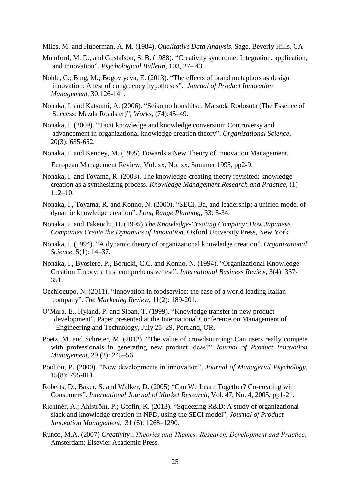Miles, M. and Huberman, A. M. (1984). *Qualitative Data Analysis*, Sage, Beverly Hills, CA

- Mumford, M. D., and Gustafson, S. B. (1988). "Creativity syndrome: Integration, application, and innovation". *Psychological Bulletin*, 103, 27– 43.
- Noble, C.; Bing, M.; Bogoviyeva, E. (2013). "The effects of brand metaphors as design innovation: A test of congruency hypotheses". *Journal of Product Innovation Management*, 30:126-141.
- Nonaka, I. and Katsumi, A. (2006). "Seiko no honshitsu: Matsuda Rodosuta (The Essence of Success: Mazda Roadster)", *Works,* (74):45–49.
- Nonaka, I. (2009). "Tacit knowledge and knowledge conversion: Controversy and advancement in organizational knowledge creation theory". *Organizational Science*, 20(3): 635-652.
- Nonaka, I. and Kenney, M. (1995) Towards a New Theory of Innovation Management.

European Management Review, Vol. xx, No. xx, Summer 1995, pp2-9.

- Nonaka, I. and Toyama, R. (2003). The knowledge-creating theory revisited: knowledge creation as a synthesizing process. *Knowledge Management Research and Practice,* (1) 1:.2–10.
- Nonaka, I., Toyama, R. and Konno, N. (2000). "SECI, Ba, and leadership: a unified model of dynamic knowledge creation". *Long Range Planning*, 33: 5-34.
- Nonaka, I. and Takeuchi, H. (1995) *The Knowledge-Creating Company: How Japanese Companies Create the Dynamics of Innovation*. Oxford University Press, New York
- Nonaka, I. (1994). "A dynamic theory of organizational knowledge creation". *Organizational Science,* 5(1): 14–37.
- Nonaka, I., Byosiere, P., Borucki, C.C. and Konno, N. (1994). "Organizational Knowledge Creation Theory: a first comprehensive test". *International Business Review*, 3(4): 337- 351.
- Occhiocupo, N. (2011). "Innovation in foodservice: the case of a world leading Italian company". *The Marketing Review,* 11(2): 189-201.
- O'Mara, E., Hyland, P. and Sloan, T. (1999). "Knowledge transfer in new product development". Paper presented at the International Conference on Management of Engineering and Technology, July 25–29, Portland, OR.
- Poetz, M. and Schreier, M. (2012). "The value of crowdsourcing: Can users really compete with professionals in generating new product ideas?" *Journal of Product Innovation Management*, 29 (2): 245–56.
- Poolton, P. (2000). "New developments in innovation", *Journal of Managerial Psychology,* 15(8): 795-811.
- Roberts, D., Baker, S. and Walker, D. (2005) "Can We Learn Together? Co-creating with Consumers". *International Journal of Market Research*, Vol. 47, No. 4, 2005, pp1-21.
- Richtnér, A.; Åhlström, P.; Goffin, K. (2013). "Squeezing R&D: A study of organizational slack and knowledge creation in NPD, using the SECI model", *Journal of Product Innovation Management*, 31 [\(6\):](http://onlinelibrary.wiley.com/doi/10.1111/jpim.2014.31.issue-6/issuetoc) 1268–1290.
- Runco, M.A. (2007) *Creativity⸺Theories and Themes: Research, Development and Practice.*  Amsterdam: Elsevier Academic Press.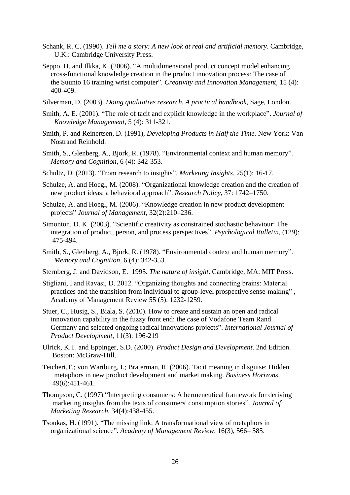- Schank, R. C. (1990). *Tell me a story: A new look at real and artificial memory*. Cambridge, U.K.: Cambridge University Press.
- Seppo, H. and Ilkka, K. (2006). "A [multidimensional](http://web.a.ebscohost.com.acg.idm.oclc.org/ehost/viewarticle/render?data=dGJyMPPp44rp2%2fdV0%2bnjisfk5Ie46bZOsau0SrOk63nn5Kx95uXxjL6qrVGtqK5JtZawUq6muEy2ls5lpOrweezp33vy3%2b2G59q7SbOns1C1pq9Ktpzqeezdu33snOJ6u9jygKTq33%2b7t8w%2b3%2bS7SrGor061r7E%2b5OXwhd%2fqu37z4uqM4%2b7y&vid=13&sid=f5ca7ed4-d2c4-4b94-af4e-04bb953391ca@sessionmgr4009&hid=4207) product concept model enhancing [cross-functional](http://web.a.ebscohost.com.acg.idm.oclc.org/ehost/viewarticle/render?data=dGJyMPPp44rp2%2fdV0%2bnjisfk5Ie46bZOsau0SrOk63nn5Kx95uXxjL6qrVGtqK5JtZawUq6muEy2ls5lpOrweezp33vy3%2b2G59q7SbOns1C1pq9Ktpzqeezdu33snOJ6u9jygKTq33%2b7t8w%2b3%2bS7SrGor061r7E%2b5OXwhd%2fqu37z4uqM4%2b7y&vid=13&sid=f5ca7ed4-d2c4-4b94-af4e-04bb953391ca@sessionmgr4009&hid=4207) knowledge creation in the product innovation process: The case of the Suunto 16 training wrist [computer".](http://web.a.ebscohost.com.acg.idm.oclc.org/ehost/viewarticle/render?data=dGJyMPPp44rp2%2fdV0%2bnjisfk5Ie46bZOsau0SrOk63nn5Kx95uXxjL6qrVGtqK5JtZawUq6muEy2ls5lpOrweezp33vy3%2b2G59q7SbOns1C1pq9Ktpzqeezdu33snOJ6u9jygKTq33%2b7t8w%2b3%2bS7SrGor061r7E%2b5OXwhd%2fqu37z4uqM4%2b7y&vid=13&sid=f5ca7ed4-d2c4-4b94-af4e-04bb953391ca@sessionmgr4009&hid=4207) *Creativity and Innovation Management*, 15 (4): 400-409.
- Silverman, D. (2003). *Doing qualitative research. A practical handbook*, Sage, London.
- Smith, A. E. (2001). "The role of tacit and explicit knowledge in the workplace". *Journal of Knowledge Management*, 5 (4): 311-321.
- Smith, P. and Reinertsen, D. (1991), *Developing Products in Half the Time.* New York: Van Nostrand Reinhold.
- Smith, S., Glenberg, A., Bjork, R. (1978). "Environmental context and human memory". *Memory and Cognition*, 6 (4): 342-353.
- Schultz, D. (2013). "From research to insights". *Marketing Insights,* 25(1): 16-17.
- Schulze, A. and Hoegl, M. (2008). "Organizational knowledge creation and the creation of new product ideas: a behavioral approach". *Research Policy*, 37: 1742–1750.
- Schulze, A. and Hoegl, M. (2006). "Knowledge creation in new product development projects" *Journal of Management*, 32(2):210–236.
- Simonton, D. K. (2003). "Scientific creativity as constrained stochastic behaviour: The integration of product, person, and process perspectives". *Psychological Bulletin,* (129): 475-494.
- Smith, S., Glenberg, A., Bjork, R. (1978). "Environmental context and human memory". *Memory and Cognition*, 6 (4): 342-353.
- Sternberg, J. and Davidson, E. 1995. *The nature of insight*. Cambridge, MA: MIT Press.
- Stigliani, I and Ravasi, D. 2012. "Organizing thoughts and connecting brains: Material practices and the transition from individual to group-level prospective sense-making" , Academy of Management Review 55 (5): 1232-1259.
- Stuer, C., Husig, S., Biala, S. (2010). How to create and sustain an open and radical innovation capability in the fuzzy front end: the case of Vodafone Team Rand Germany and selected ongoing radical innovations projects". *International Journal of Product Development*, 11(3): 196-219
- Ulrick, K.T. and Eppinger, S.D. (2000). *Product Design and Development*. 2nd Edition. Boston: McGraw-Hill.
- Teichert,T.; von Wartburg, I.; Braterman, R. (2006). Tacit meaning in disguise: Hidden metaphors in new product development and market making. *Business Horizons,* 49(6):451-461.
- Thompson, C. (1997)."Interpreting consumers: A hermeneutical framework for deriving marketing insights from the texts of consumers' consumption stories". *Journal of Marketing Research*, 34(4):438-455.
- Tsoukas, H. (1991). "The missing link: A transformational view of metaphors in organizational science". *Academy of Management Review*, 16(3), 566– 585.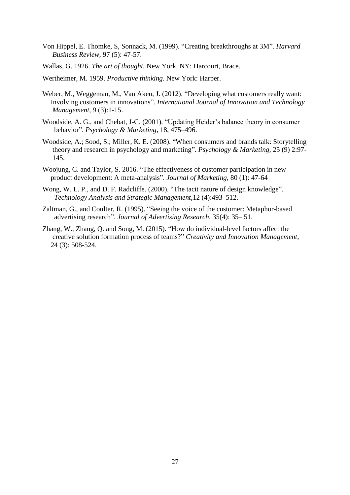- Von Hippel, E. Thomke, S, Sonnack, M. (1999). "Creating breakthroughs at 3M". *Harvard Business Review*, 97 (5): 47-57.
- Wallas, G. 1926. *The art of thought.* New York, NY: Harcourt, Brace.
- Wertheimer, M. 1959. *Productive thinking*. New York: Harper.
- Weber, M., Weggeman, M., Van Aken, J. (2012). "Developing what customers really want: Involving customers in innovations". *International Journal of Innovation and Technology Management,* 9 (3):1-15.
- Woodside, A. G., and Chebat, J-C. (2001). "Updating Heider's balance theory in consumer behavior". *Psychology & Marketing*, 18, 475–496.
- Woodside, A.; Sood, S.; Miller, K. E. (2008). "When consumers and brands [talk: Storytelling](http://web.a.ebscohost.com.acg.idm.oclc.org/ehost/viewarticle?data=dGJyMPPp44rp2%2fdV0%2bnjisfk5Ie46bZOsau0SrOk63nn5KyF8%2bLygb6nrUq3pbBIr6yeT7irtlKurp5Zy5zyit%2fk8Xnh6ueH7N%2fiVausrkuzrLJMtqakhN%2fk5VXj5KR84LPgjOac8nnls79mpNfsVbCuskyxrbJOpNztiuvX8lXk6%2bqE8tv2jAAA&hid=4214)  [theory and research in psychology and marketing".](http://web.a.ebscohost.com.acg.idm.oclc.org/ehost/viewarticle?data=dGJyMPPp44rp2%2fdV0%2bnjisfk5Ie46bZOsau0SrOk63nn5KyF8%2bLygb6nrUq3pbBIr6yeT7irtlKurp5Zy5zyit%2fk8Xnh6ueH7N%2fiVausrkuzrLJMtqakhN%2fk5VXj5KR84LPgjOac8nnls79mpNfsVbCuskyxrbJOpNztiuvX8lXk6%2bqE8tv2jAAA&hid=4214) *Psychology & Marketing,* 25 (9) 2:97- 145.
- Woojung, C. and Taylor, S. 2016. "The effectiveness of customer participation in new product development: A meta-analysis". *Journal of Marketing*, 80 (1): 47-64
- Wong, W. L. P., and D. F. Radcliffe. (2000). "The tacit nature of design knowledge". *Technology Analysis and Strategic Management*,12 (4):493–512.
- Zaltman, G., and Coulter, R. (1995). "Seeing the voice of the customer: Metaphor-based advertising research". *Journal of Advertising Research*, 35(4): 35– 51.
- Zhang, W., Zhang, Q. and Song, M. (2015). "How do individual-level factors affect the creative solution formation process of teams?" *Creativity and Innovation Management*, 24 (3): 508-524.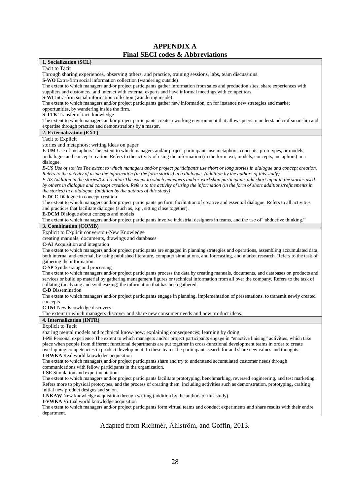## **APPENDIX A Final SECI codes & Abbreviations**

| Tacit to Tacit<br>Through sharing experiences, observing others, and practice, training sessions, labs, team discussions.<br><b>S-WO</b> Extra-firm social information collection (wandering outside)<br>The extent to which managers and/or project participants gather information from sales and production sites, share experiences with<br>suppliers and customers, and interact with external experts and have informal meetings with competitors.<br>S-WI Intra-firm social information collection (wandering inside)<br>The extent to which managers and/or project participants gather new information, on for instance new strategies and market<br>opportunities, by wandering inside the firm.<br>S-TTK Transfer of tacit knowledge<br>The extent to which managers and/or project participants create a working environment that allows peers to understand craftsmanship and<br>expertise through practice and demonstrations by a master.<br>2. Externalization (EXT)<br>Tacit to Explicit<br>stories and metaphors; writing ideas on paper<br>E-UM Use of metaphors The extent to which managers and/or project participants use metaphors, concepts, prototypes, or models,<br>in dialogue and concept creation. Refers to the activity of using the information (in the form text, models, concepts, metaphors) in a<br>dialogue.<br>E-US Use of stories The extent to which managers and/or project participants use short or long stories in dialogue and concept creation.<br>Refers to the activity of using the information (in the form stories) in a dialogue. (addition by the authors of this study)<br>E-AS Addition in the stories/Co-creation The extent to which managers and/or workshop participants add short input in the stories used<br>by others in dialogue and concept creation. Refers to the activity of using the information (in the form of short additions/refinements in<br>the stories) in a dialogue. (addition by the authors of this study)<br><b>E-DCC</b> Dialogue in concept creation<br>The extent to which managers and/or project participants perform facilitation of creative and essential dialogue. Refers to all activities<br>and practices that facilitate dialogue (such as, e.g., sitting close together).<br><b>E-DCM</b> Dialogue about concepts and models<br>The extent to which managers and/or project participants involve industrial designers in teams, and the use of "abductive thinking."<br>3. Combination (COMB)<br>Explicit to Explicit conversion-New Knowledge<br>creating manuals, documents, drawings and databases<br><b>C-AI</b> Acquisition and integration<br>The extent to which managers and/or project participants are engaged in planning strategies and operations, assembling accumulated data,<br>both internal and external, by using published literature, computer simulations, and forecasting, and market research. Refers to the task of<br>gathering the information.<br><b>C-SP</b> Synthesizing and processing<br>The extent to which managers and/or project participants process the data by creating manuals, documents, and databases on products and<br>services or build up material by gathering management figures or technical information from all over the company. Refers to the task of<br>collating (analyzing and synthesizing) the information that has been gathered.<br><b>C-D</b> Dissemination<br>The extent to which managers and/or project participants engage in planning, implementation of presentations, to transmit newly created<br>concepts.<br>C-I&I New Knowledge discovery<br>The extent to which managers discover and share new consumer needs and new product ideas.<br>4. Internalization (INTR)<br><b>Explicit to Tacit</b><br>sharing mental models and technical know-how; explaining consequences; learning by doing<br>I-PE Personal experience The extent to which managers and/or project participants engage in "enactive liaising" activities, which take<br>place when people from different functional departments are put together in cross-functional development teams in order to create<br>overlapping competencies in product development. In these teams the participants search for and share new values and thoughts.<br><b>I-RWKA</b> Real world knowledge acquisition<br>The extent to which managers and/or project participants share and try to understand accumulated customer needs through<br>communications with fellow participants in the organization.<br>I-SE Simulation and experimentation<br>The extent to which managers and/or project participants facilitate prototyping, benchmarking, reversed engineering, and test marketing.<br>Refers more to physical prototypes, and the process of creating them, including activities such as demonstration, prototyping, crafting<br>initial new product designs and so on.<br><b>I-NKAW</b> New knowledge acquisition through writing (addition by the authors of this study)<br>I-VWKA Virtual world knowledge acquisition<br>The extent to which managers and/or project participants form virtual teams and conduct experiments and share results with their entire<br>department. | 1. Socialization (SCL) |
|--------------------------------------------------------------------------------------------------------------------------------------------------------------------------------------------------------------------------------------------------------------------------------------------------------------------------------------------------------------------------------------------------------------------------------------------------------------------------------------------------------------------------------------------------------------------------------------------------------------------------------------------------------------------------------------------------------------------------------------------------------------------------------------------------------------------------------------------------------------------------------------------------------------------------------------------------------------------------------------------------------------------------------------------------------------------------------------------------------------------------------------------------------------------------------------------------------------------------------------------------------------------------------------------------------------------------------------------------------------------------------------------------------------------------------------------------------------------------------------------------------------------------------------------------------------------------------------------------------------------------------------------------------------------------------------------------------------------------------------------------------------------------------------------------------------------------------------------------------------------------------------------------------------------------------------------------------------------------------------------------------------------------------------------------------------------------------------------------------------------------------------------------------------------------------------------------------------------------------------------------------------------------------------------------------------------------------------------------------------------------------------------------------------------------------------------------------------------------------------------------------------------------------------------------------------------------------------------------------------------------------------------------------------------------------------------------------------------------------------------------------------------------------------------------------------------------------------------------------------------------------------------------------------------------------------------------------------------------------------------------------------------------------------------------------------------------------------------------------------------------------------------------------------------------------------------------------------------------------------------------------------------------------------------------------------------------------------------------------------------------------------------------------------------------------------------------------------------------------------------------------------------------------------------------------------------------------------------------------------------------------------------------------------------------------------------------------------------------------------------------------------------------------------------------------------------------------------------------------------------------------------------------------------------------------------------------------------------------------------------------------------------------------------------------------------------------------------------------------------------------------------------------------------------------------------------------------------------------------------------------------------------------------------------------------------------------------------------------------------------------------------------------------------------------------------------------------------------------------------------------------------------------------------------------------------------------------------------------------------------------------------------------------------------------------------------------------------------------------------------------------------------------------------------------------------------------------------------------------------------------------------------------------------------------------------------------------------------------------------------------------------------------------------------------------------------------------------------------------------------------------------------------------------------------------------------------------------------------|------------------------|
|                                                                                                                                                                                                                                                                                                                                                                                                                                                                                                                                                                                                                                                                                                                                                                                                                                                                                                                                                                                                                                                                                                                                                                                                                                                                                                                                                                                                                                                                                                                                                                                                                                                                                                                                                                                                                                                                                                                                                                                                                                                                                                                                                                                                                                                                                                                                                                                                                                                                                                                                                                                                                                                                                                                                                                                                                                                                                                                                                                                                                                                                                                                                                                                                                                                                                                                                                                                                                                                                                                                                                                                                                                                                                                                                                                                                                                                                                                                                                                                                                                                                                                                                                                                                                                                                                                                                                                                                                                                                                                                                                                                                                                                                                                                                                                                                                                                                                                                                                                                                                                                                                                                                                                                                                          |                        |
|                                                                                                                                                                                                                                                                                                                                                                                                                                                                                                                                                                                                                                                                                                                                                                                                                                                                                                                                                                                                                                                                                                                                                                                                                                                                                                                                                                                                                                                                                                                                                                                                                                                                                                                                                                                                                                                                                                                                                                                                                                                                                                                                                                                                                                                                                                                                                                                                                                                                                                                                                                                                                                                                                                                                                                                                                                                                                                                                                                                                                                                                                                                                                                                                                                                                                                                                                                                                                                                                                                                                                                                                                                                                                                                                                                                                                                                                                                                                                                                                                                                                                                                                                                                                                                                                                                                                                                                                                                                                                                                                                                                                                                                                                                                                                                                                                                                                                                                                                                                                                                                                                                                                                                                                                          |                        |
|                                                                                                                                                                                                                                                                                                                                                                                                                                                                                                                                                                                                                                                                                                                                                                                                                                                                                                                                                                                                                                                                                                                                                                                                                                                                                                                                                                                                                                                                                                                                                                                                                                                                                                                                                                                                                                                                                                                                                                                                                                                                                                                                                                                                                                                                                                                                                                                                                                                                                                                                                                                                                                                                                                                                                                                                                                                                                                                                                                                                                                                                                                                                                                                                                                                                                                                                                                                                                                                                                                                                                                                                                                                                                                                                                                                                                                                                                                                                                                                                                                                                                                                                                                                                                                                                                                                                                                                                                                                                                                                                                                                                                                                                                                                                                                                                                                                                                                                                                                                                                                                                                                                                                                                                                          |                        |
|                                                                                                                                                                                                                                                                                                                                                                                                                                                                                                                                                                                                                                                                                                                                                                                                                                                                                                                                                                                                                                                                                                                                                                                                                                                                                                                                                                                                                                                                                                                                                                                                                                                                                                                                                                                                                                                                                                                                                                                                                                                                                                                                                                                                                                                                                                                                                                                                                                                                                                                                                                                                                                                                                                                                                                                                                                                                                                                                                                                                                                                                                                                                                                                                                                                                                                                                                                                                                                                                                                                                                                                                                                                                                                                                                                                                                                                                                                                                                                                                                                                                                                                                                                                                                                                                                                                                                                                                                                                                                                                                                                                                                                                                                                                                                                                                                                                                                                                                                                                                                                                                                                                                                                                                                          |                        |
|                                                                                                                                                                                                                                                                                                                                                                                                                                                                                                                                                                                                                                                                                                                                                                                                                                                                                                                                                                                                                                                                                                                                                                                                                                                                                                                                                                                                                                                                                                                                                                                                                                                                                                                                                                                                                                                                                                                                                                                                                                                                                                                                                                                                                                                                                                                                                                                                                                                                                                                                                                                                                                                                                                                                                                                                                                                                                                                                                                                                                                                                                                                                                                                                                                                                                                                                                                                                                                                                                                                                                                                                                                                                                                                                                                                                                                                                                                                                                                                                                                                                                                                                                                                                                                                                                                                                                                                                                                                                                                                                                                                                                                                                                                                                                                                                                                                                                                                                                                                                                                                                                                                                                                                                                          |                        |
|                                                                                                                                                                                                                                                                                                                                                                                                                                                                                                                                                                                                                                                                                                                                                                                                                                                                                                                                                                                                                                                                                                                                                                                                                                                                                                                                                                                                                                                                                                                                                                                                                                                                                                                                                                                                                                                                                                                                                                                                                                                                                                                                                                                                                                                                                                                                                                                                                                                                                                                                                                                                                                                                                                                                                                                                                                                                                                                                                                                                                                                                                                                                                                                                                                                                                                                                                                                                                                                                                                                                                                                                                                                                                                                                                                                                                                                                                                                                                                                                                                                                                                                                                                                                                                                                                                                                                                                                                                                                                                                                                                                                                                                                                                                                                                                                                                                                                                                                                                                                                                                                                                                                                                                                                          |                        |
|                                                                                                                                                                                                                                                                                                                                                                                                                                                                                                                                                                                                                                                                                                                                                                                                                                                                                                                                                                                                                                                                                                                                                                                                                                                                                                                                                                                                                                                                                                                                                                                                                                                                                                                                                                                                                                                                                                                                                                                                                                                                                                                                                                                                                                                                                                                                                                                                                                                                                                                                                                                                                                                                                                                                                                                                                                                                                                                                                                                                                                                                                                                                                                                                                                                                                                                                                                                                                                                                                                                                                                                                                                                                                                                                                                                                                                                                                                                                                                                                                                                                                                                                                                                                                                                                                                                                                                                                                                                                                                                                                                                                                                                                                                                                                                                                                                                                                                                                                                                                                                                                                                                                                                                                                          |                        |
|                                                                                                                                                                                                                                                                                                                                                                                                                                                                                                                                                                                                                                                                                                                                                                                                                                                                                                                                                                                                                                                                                                                                                                                                                                                                                                                                                                                                                                                                                                                                                                                                                                                                                                                                                                                                                                                                                                                                                                                                                                                                                                                                                                                                                                                                                                                                                                                                                                                                                                                                                                                                                                                                                                                                                                                                                                                                                                                                                                                                                                                                                                                                                                                                                                                                                                                                                                                                                                                                                                                                                                                                                                                                                                                                                                                                                                                                                                                                                                                                                                                                                                                                                                                                                                                                                                                                                                                                                                                                                                                                                                                                                                                                                                                                                                                                                                                                                                                                                                                                                                                                                                                                                                                                                          |                        |
|                                                                                                                                                                                                                                                                                                                                                                                                                                                                                                                                                                                                                                                                                                                                                                                                                                                                                                                                                                                                                                                                                                                                                                                                                                                                                                                                                                                                                                                                                                                                                                                                                                                                                                                                                                                                                                                                                                                                                                                                                                                                                                                                                                                                                                                                                                                                                                                                                                                                                                                                                                                                                                                                                                                                                                                                                                                                                                                                                                                                                                                                                                                                                                                                                                                                                                                                                                                                                                                                                                                                                                                                                                                                                                                                                                                                                                                                                                                                                                                                                                                                                                                                                                                                                                                                                                                                                                                                                                                                                                                                                                                                                                                                                                                                                                                                                                                                                                                                                                                                                                                                                                                                                                                                                          |                        |
|                                                                                                                                                                                                                                                                                                                                                                                                                                                                                                                                                                                                                                                                                                                                                                                                                                                                                                                                                                                                                                                                                                                                                                                                                                                                                                                                                                                                                                                                                                                                                                                                                                                                                                                                                                                                                                                                                                                                                                                                                                                                                                                                                                                                                                                                                                                                                                                                                                                                                                                                                                                                                                                                                                                                                                                                                                                                                                                                                                                                                                                                                                                                                                                                                                                                                                                                                                                                                                                                                                                                                                                                                                                                                                                                                                                                                                                                                                                                                                                                                                                                                                                                                                                                                                                                                                                                                                                                                                                                                                                                                                                                                                                                                                                                                                                                                                                                                                                                                                                                                                                                                                                                                                                                                          |                        |
|                                                                                                                                                                                                                                                                                                                                                                                                                                                                                                                                                                                                                                                                                                                                                                                                                                                                                                                                                                                                                                                                                                                                                                                                                                                                                                                                                                                                                                                                                                                                                                                                                                                                                                                                                                                                                                                                                                                                                                                                                                                                                                                                                                                                                                                                                                                                                                                                                                                                                                                                                                                                                                                                                                                                                                                                                                                                                                                                                                                                                                                                                                                                                                                                                                                                                                                                                                                                                                                                                                                                                                                                                                                                                                                                                                                                                                                                                                                                                                                                                                                                                                                                                                                                                                                                                                                                                                                                                                                                                                                                                                                                                                                                                                                                                                                                                                                                                                                                                                                                                                                                                                                                                                                                                          |                        |
|                                                                                                                                                                                                                                                                                                                                                                                                                                                                                                                                                                                                                                                                                                                                                                                                                                                                                                                                                                                                                                                                                                                                                                                                                                                                                                                                                                                                                                                                                                                                                                                                                                                                                                                                                                                                                                                                                                                                                                                                                                                                                                                                                                                                                                                                                                                                                                                                                                                                                                                                                                                                                                                                                                                                                                                                                                                                                                                                                                                                                                                                                                                                                                                                                                                                                                                                                                                                                                                                                                                                                                                                                                                                                                                                                                                                                                                                                                                                                                                                                                                                                                                                                                                                                                                                                                                                                                                                                                                                                                                                                                                                                                                                                                                                                                                                                                                                                                                                                                                                                                                                                                                                                                                                                          |                        |
|                                                                                                                                                                                                                                                                                                                                                                                                                                                                                                                                                                                                                                                                                                                                                                                                                                                                                                                                                                                                                                                                                                                                                                                                                                                                                                                                                                                                                                                                                                                                                                                                                                                                                                                                                                                                                                                                                                                                                                                                                                                                                                                                                                                                                                                                                                                                                                                                                                                                                                                                                                                                                                                                                                                                                                                                                                                                                                                                                                                                                                                                                                                                                                                                                                                                                                                                                                                                                                                                                                                                                                                                                                                                                                                                                                                                                                                                                                                                                                                                                                                                                                                                                                                                                                                                                                                                                                                                                                                                                                                                                                                                                                                                                                                                                                                                                                                                                                                                                                                                                                                                                                                                                                                                                          |                        |
|                                                                                                                                                                                                                                                                                                                                                                                                                                                                                                                                                                                                                                                                                                                                                                                                                                                                                                                                                                                                                                                                                                                                                                                                                                                                                                                                                                                                                                                                                                                                                                                                                                                                                                                                                                                                                                                                                                                                                                                                                                                                                                                                                                                                                                                                                                                                                                                                                                                                                                                                                                                                                                                                                                                                                                                                                                                                                                                                                                                                                                                                                                                                                                                                                                                                                                                                                                                                                                                                                                                                                                                                                                                                                                                                                                                                                                                                                                                                                                                                                                                                                                                                                                                                                                                                                                                                                                                                                                                                                                                                                                                                                                                                                                                                                                                                                                                                                                                                                                                                                                                                                                                                                                                                                          |                        |
|                                                                                                                                                                                                                                                                                                                                                                                                                                                                                                                                                                                                                                                                                                                                                                                                                                                                                                                                                                                                                                                                                                                                                                                                                                                                                                                                                                                                                                                                                                                                                                                                                                                                                                                                                                                                                                                                                                                                                                                                                                                                                                                                                                                                                                                                                                                                                                                                                                                                                                                                                                                                                                                                                                                                                                                                                                                                                                                                                                                                                                                                                                                                                                                                                                                                                                                                                                                                                                                                                                                                                                                                                                                                                                                                                                                                                                                                                                                                                                                                                                                                                                                                                                                                                                                                                                                                                                                                                                                                                                                                                                                                                                                                                                                                                                                                                                                                                                                                                                                                                                                                                                                                                                                                                          |                        |
|                                                                                                                                                                                                                                                                                                                                                                                                                                                                                                                                                                                                                                                                                                                                                                                                                                                                                                                                                                                                                                                                                                                                                                                                                                                                                                                                                                                                                                                                                                                                                                                                                                                                                                                                                                                                                                                                                                                                                                                                                                                                                                                                                                                                                                                                                                                                                                                                                                                                                                                                                                                                                                                                                                                                                                                                                                                                                                                                                                                                                                                                                                                                                                                                                                                                                                                                                                                                                                                                                                                                                                                                                                                                                                                                                                                                                                                                                                                                                                                                                                                                                                                                                                                                                                                                                                                                                                                                                                                                                                                                                                                                                                                                                                                                                                                                                                                                                                                                                                                                                                                                                                                                                                                                                          |                        |
|                                                                                                                                                                                                                                                                                                                                                                                                                                                                                                                                                                                                                                                                                                                                                                                                                                                                                                                                                                                                                                                                                                                                                                                                                                                                                                                                                                                                                                                                                                                                                                                                                                                                                                                                                                                                                                                                                                                                                                                                                                                                                                                                                                                                                                                                                                                                                                                                                                                                                                                                                                                                                                                                                                                                                                                                                                                                                                                                                                                                                                                                                                                                                                                                                                                                                                                                                                                                                                                                                                                                                                                                                                                                                                                                                                                                                                                                                                                                                                                                                                                                                                                                                                                                                                                                                                                                                                                                                                                                                                                                                                                                                                                                                                                                                                                                                                                                                                                                                                                                                                                                                                                                                                                                                          |                        |
|                                                                                                                                                                                                                                                                                                                                                                                                                                                                                                                                                                                                                                                                                                                                                                                                                                                                                                                                                                                                                                                                                                                                                                                                                                                                                                                                                                                                                                                                                                                                                                                                                                                                                                                                                                                                                                                                                                                                                                                                                                                                                                                                                                                                                                                                                                                                                                                                                                                                                                                                                                                                                                                                                                                                                                                                                                                                                                                                                                                                                                                                                                                                                                                                                                                                                                                                                                                                                                                                                                                                                                                                                                                                                                                                                                                                                                                                                                                                                                                                                                                                                                                                                                                                                                                                                                                                                                                                                                                                                                                                                                                                                                                                                                                                                                                                                                                                                                                                                                                                                                                                                                                                                                                                                          |                        |
|                                                                                                                                                                                                                                                                                                                                                                                                                                                                                                                                                                                                                                                                                                                                                                                                                                                                                                                                                                                                                                                                                                                                                                                                                                                                                                                                                                                                                                                                                                                                                                                                                                                                                                                                                                                                                                                                                                                                                                                                                                                                                                                                                                                                                                                                                                                                                                                                                                                                                                                                                                                                                                                                                                                                                                                                                                                                                                                                                                                                                                                                                                                                                                                                                                                                                                                                                                                                                                                                                                                                                                                                                                                                                                                                                                                                                                                                                                                                                                                                                                                                                                                                                                                                                                                                                                                                                                                                                                                                                                                                                                                                                                                                                                                                                                                                                                                                                                                                                                                                                                                                                                                                                                                                                          |                        |
|                                                                                                                                                                                                                                                                                                                                                                                                                                                                                                                                                                                                                                                                                                                                                                                                                                                                                                                                                                                                                                                                                                                                                                                                                                                                                                                                                                                                                                                                                                                                                                                                                                                                                                                                                                                                                                                                                                                                                                                                                                                                                                                                                                                                                                                                                                                                                                                                                                                                                                                                                                                                                                                                                                                                                                                                                                                                                                                                                                                                                                                                                                                                                                                                                                                                                                                                                                                                                                                                                                                                                                                                                                                                                                                                                                                                                                                                                                                                                                                                                                                                                                                                                                                                                                                                                                                                                                                                                                                                                                                                                                                                                                                                                                                                                                                                                                                                                                                                                                                                                                                                                                                                                                                                                          |                        |
|                                                                                                                                                                                                                                                                                                                                                                                                                                                                                                                                                                                                                                                                                                                                                                                                                                                                                                                                                                                                                                                                                                                                                                                                                                                                                                                                                                                                                                                                                                                                                                                                                                                                                                                                                                                                                                                                                                                                                                                                                                                                                                                                                                                                                                                                                                                                                                                                                                                                                                                                                                                                                                                                                                                                                                                                                                                                                                                                                                                                                                                                                                                                                                                                                                                                                                                                                                                                                                                                                                                                                                                                                                                                                                                                                                                                                                                                                                                                                                                                                                                                                                                                                                                                                                                                                                                                                                                                                                                                                                                                                                                                                                                                                                                                                                                                                                                                                                                                                                                                                                                                                                                                                                                                                          |                        |
|                                                                                                                                                                                                                                                                                                                                                                                                                                                                                                                                                                                                                                                                                                                                                                                                                                                                                                                                                                                                                                                                                                                                                                                                                                                                                                                                                                                                                                                                                                                                                                                                                                                                                                                                                                                                                                                                                                                                                                                                                                                                                                                                                                                                                                                                                                                                                                                                                                                                                                                                                                                                                                                                                                                                                                                                                                                                                                                                                                                                                                                                                                                                                                                                                                                                                                                                                                                                                                                                                                                                                                                                                                                                                                                                                                                                                                                                                                                                                                                                                                                                                                                                                                                                                                                                                                                                                                                                                                                                                                                                                                                                                                                                                                                                                                                                                                                                                                                                                                                                                                                                                                                                                                                                                          |                        |
|                                                                                                                                                                                                                                                                                                                                                                                                                                                                                                                                                                                                                                                                                                                                                                                                                                                                                                                                                                                                                                                                                                                                                                                                                                                                                                                                                                                                                                                                                                                                                                                                                                                                                                                                                                                                                                                                                                                                                                                                                                                                                                                                                                                                                                                                                                                                                                                                                                                                                                                                                                                                                                                                                                                                                                                                                                                                                                                                                                                                                                                                                                                                                                                                                                                                                                                                                                                                                                                                                                                                                                                                                                                                                                                                                                                                                                                                                                                                                                                                                                                                                                                                                                                                                                                                                                                                                                                                                                                                                                                                                                                                                                                                                                                                                                                                                                                                                                                                                                                                                                                                                                                                                                                                                          |                        |
|                                                                                                                                                                                                                                                                                                                                                                                                                                                                                                                                                                                                                                                                                                                                                                                                                                                                                                                                                                                                                                                                                                                                                                                                                                                                                                                                                                                                                                                                                                                                                                                                                                                                                                                                                                                                                                                                                                                                                                                                                                                                                                                                                                                                                                                                                                                                                                                                                                                                                                                                                                                                                                                                                                                                                                                                                                                                                                                                                                                                                                                                                                                                                                                                                                                                                                                                                                                                                                                                                                                                                                                                                                                                                                                                                                                                                                                                                                                                                                                                                                                                                                                                                                                                                                                                                                                                                                                                                                                                                                                                                                                                                                                                                                                                                                                                                                                                                                                                                                                                                                                                                                                                                                                                                          |                        |
|                                                                                                                                                                                                                                                                                                                                                                                                                                                                                                                                                                                                                                                                                                                                                                                                                                                                                                                                                                                                                                                                                                                                                                                                                                                                                                                                                                                                                                                                                                                                                                                                                                                                                                                                                                                                                                                                                                                                                                                                                                                                                                                                                                                                                                                                                                                                                                                                                                                                                                                                                                                                                                                                                                                                                                                                                                                                                                                                                                                                                                                                                                                                                                                                                                                                                                                                                                                                                                                                                                                                                                                                                                                                                                                                                                                                                                                                                                                                                                                                                                                                                                                                                                                                                                                                                                                                                                                                                                                                                                                                                                                                                                                                                                                                                                                                                                                                                                                                                                                                                                                                                                                                                                                                                          |                        |
|                                                                                                                                                                                                                                                                                                                                                                                                                                                                                                                                                                                                                                                                                                                                                                                                                                                                                                                                                                                                                                                                                                                                                                                                                                                                                                                                                                                                                                                                                                                                                                                                                                                                                                                                                                                                                                                                                                                                                                                                                                                                                                                                                                                                                                                                                                                                                                                                                                                                                                                                                                                                                                                                                                                                                                                                                                                                                                                                                                                                                                                                                                                                                                                                                                                                                                                                                                                                                                                                                                                                                                                                                                                                                                                                                                                                                                                                                                                                                                                                                                                                                                                                                                                                                                                                                                                                                                                                                                                                                                                                                                                                                                                                                                                                                                                                                                                                                                                                                                                                                                                                                                                                                                                                                          |                        |
|                                                                                                                                                                                                                                                                                                                                                                                                                                                                                                                                                                                                                                                                                                                                                                                                                                                                                                                                                                                                                                                                                                                                                                                                                                                                                                                                                                                                                                                                                                                                                                                                                                                                                                                                                                                                                                                                                                                                                                                                                                                                                                                                                                                                                                                                                                                                                                                                                                                                                                                                                                                                                                                                                                                                                                                                                                                                                                                                                                                                                                                                                                                                                                                                                                                                                                                                                                                                                                                                                                                                                                                                                                                                                                                                                                                                                                                                                                                                                                                                                                                                                                                                                                                                                                                                                                                                                                                                                                                                                                                                                                                                                                                                                                                                                                                                                                                                                                                                                                                                                                                                                                                                                                                                                          |                        |
|                                                                                                                                                                                                                                                                                                                                                                                                                                                                                                                                                                                                                                                                                                                                                                                                                                                                                                                                                                                                                                                                                                                                                                                                                                                                                                                                                                                                                                                                                                                                                                                                                                                                                                                                                                                                                                                                                                                                                                                                                                                                                                                                                                                                                                                                                                                                                                                                                                                                                                                                                                                                                                                                                                                                                                                                                                                                                                                                                                                                                                                                                                                                                                                                                                                                                                                                                                                                                                                                                                                                                                                                                                                                                                                                                                                                                                                                                                                                                                                                                                                                                                                                                                                                                                                                                                                                                                                                                                                                                                                                                                                                                                                                                                                                                                                                                                                                                                                                                                                                                                                                                                                                                                                                                          |                        |
|                                                                                                                                                                                                                                                                                                                                                                                                                                                                                                                                                                                                                                                                                                                                                                                                                                                                                                                                                                                                                                                                                                                                                                                                                                                                                                                                                                                                                                                                                                                                                                                                                                                                                                                                                                                                                                                                                                                                                                                                                                                                                                                                                                                                                                                                                                                                                                                                                                                                                                                                                                                                                                                                                                                                                                                                                                                                                                                                                                                                                                                                                                                                                                                                                                                                                                                                                                                                                                                                                                                                                                                                                                                                                                                                                                                                                                                                                                                                                                                                                                                                                                                                                                                                                                                                                                                                                                                                                                                                                                                                                                                                                                                                                                                                                                                                                                                                                                                                                                                                                                                                                                                                                                                                                          |                        |
|                                                                                                                                                                                                                                                                                                                                                                                                                                                                                                                                                                                                                                                                                                                                                                                                                                                                                                                                                                                                                                                                                                                                                                                                                                                                                                                                                                                                                                                                                                                                                                                                                                                                                                                                                                                                                                                                                                                                                                                                                                                                                                                                                                                                                                                                                                                                                                                                                                                                                                                                                                                                                                                                                                                                                                                                                                                                                                                                                                                                                                                                                                                                                                                                                                                                                                                                                                                                                                                                                                                                                                                                                                                                                                                                                                                                                                                                                                                                                                                                                                                                                                                                                                                                                                                                                                                                                                                                                                                                                                                                                                                                                                                                                                                                                                                                                                                                                                                                                                                                                                                                                                                                                                                                                          |                        |
|                                                                                                                                                                                                                                                                                                                                                                                                                                                                                                                                                                                                                                                                                                                                                                                                                                                                                                                                                                                                                                                                                                                                                                                                                                                                                                                                                                                                                                                                                                                                                                                                                                                                                                                                                                                                                                                                                                                                                                                                                                                                                                                                                                                                                                                                                                                                                                                                                                                                                                                                                                                                                                                                                                                                                                                                                                                                                                                                                                                                                                                                                                                                                                                                                                                                                                                                                                                                                                                                                                                                                                                                                                                                                                                                                                                                                                                                                                                                                                                                                                                                                                                                                                                                                                                                                                                                                                                                                                                                                                                                                                                                                                                                                                                                                                                                                                                                                                                                                                                                                                                                                                                                                                                                                          |                        |
|                                                                                                                                                                                                                                                                                                                                                                                                                                                                                                                                                                                                                                                                                                                                                                                                                                                                                                                                                                                                                                                                                                                                                                                                                                                                                                                                                                                                                                                                                                                                                                                                                                                                                                                                                                                                                                                                                                                                                                                                                                                                                                                                                                                                                                                                                                                                                                                                                                                                                                                                                                                                                                                                                                                                                                                                                                                                                                                                                                                                                                                                                                                                                                                                                                                                                                                                                                                                                                                                                                                                                                                                                                                                                                                                                                                                                                                                                                                                                                                                                                                                                                                                                                                                                                                                                                                                                                                                                                                                                                                                                                                                                                                                                                                                                                                                                                                                                                                                                                                                                                                                                                                                                                                                                          |                        |
|                                                                                                                                                                                                                                                                                                                                                                                                                                                                                                                                                                                                                                                                                                                                                                                                                                                                                                                                                                                                                                                                                                                                                                                                                                                                                                                                                                                                                                                                                                                                                                                                                                                                                                                                                                                                                                                                                                                                                                                                                                                                                                                                                                                                                                                                                                                                                                                                                                                                                                                                                                                                                                                                                                                                                                                                                                                                                                                                                                                                                                                                                                                                                                                                                                                                                                                                                                                                                                                                                                                                                                                                                                                                                                                                                                                                                                                                                                                                                                                                                                                                                                                                                                                                                                                                                                                                                                                                                                                                                                                                                                                                                                                                                                                                                                                                                                                                                                                                                                                                                                                                                                                                                                                                                          |                        |
|                                                                                                                                                                                                                                                                                                                                                                                                                                                                                                                                                                                                                                                                                                                                                                                                                                                                                                                                                                                                                                                                                                                                                                                                                                                                                                                                                                                                                                                                                                                                                                                                                                                                                                                                                                                                                                                                                                                                                                                                                                                                                                                                                                                                                                                                                                                                                                                                                                                                                                                                                                                                                                                                                                                                                                                                                                                                                                                                                                                                                                                                                                                                                                                                                                                                                                                                                                                                                                                                                                                                                                                                                                                                                                                                                                                                                                                                                                                                                                                                                                                                                                                                                                                                                                                                                                                                                                                                                                                                                                                                                                                                                                                                                                                                                                                                                                                                                                                                                                                                                                                                                                                                                                                                                          |                        |
|                                                                                                                                                                                                                                                                                                                                                                                                                                                                                                                                                                                                                                                                                                                                                                                                                                                                                                                                                                                                                                                                                                                                                                                                                                                                                                                                                                                                                                                                                                                                                                                                                                                                                                                                                                                                                                                                                                                                                                                                                                                                                                                                                                                                                                                                                                                                                                                                                                                                                                                                                                                                                                                                                                                                                                                                                                                                                                                                                                                                                                                                                                                                                                                                                                                                                                                                                                                                                                                                                                                                                                                                                                                                                                                                                                                                                                                                                                                                                                                                                                                                                                                                                                                                                                                                                                                                                                                                                                                                                                                                                                                                                                                                                                                                                                                                                                                                                                                                                                                                                                                                                                                                                                                                                          |                        |
|                                                                                                                                                                                                                                                                                                                                                                                                                                                                                                                                                                                                                                                                                                                                                                                                                                                                                                                                                                                                                                                                                                                                                                                                                                                                                                                                                                                                                                                                                                                                                                                                                                                                                                                                                                                                                                                                                                                                                                                                                                                                                                                                                                                                                                                                                                                                                                                                                                                                                                                                                                                                                                                                                                                                                                                                                                                                                                                                                                                                                                                                                                                                                                                                                                                                                                                                                                                                                                                                                                                                                                                                                                                                                                                                                                                                                                                                                                                                                                                                                                                                                                                                                                                                                                                                                                                                                                                                                                                                                                                                                                                                                                                                                                                                                                                                                                                                                                                                                                                                                                                                                                                                                                                                                          |                        |
|                                                                                                                                                                                                                                                                                                                                                                                                                                                                                                                                                                                                                                                                                                                                                                                                                                                                                                                                                                                                                                                                                                                                                                                                                                                                                                                                                                                                                                                                                                                                                                                                                                                                                                                                                                                                                                                                                                                                                                                                                                                                                                                                                                                                                                                                                                                                                                                                                                                                                                                                                                                                                                                                                                                                                                                                                                                                                                                                                                                                                                                                                                                                                                                                                                                                                                                                                                                                                                                                                                                                                                                                                                                                                                                                                                                                                                                                                                                                                                                                                                                                                                                                                                                                                                                                                                                                                                                                                                                                                                                                                                                                                                                                                                                                                                                                                                                                                                                                                                                                                                                                                                                                                                                                                          |                        |
|                                                                                                                                                                                                                                                                                                                                                                                                                                                                                                                                                                                                                                                                                                                                                                                                                                                                                                                                                                                                                                                                                                                                                                                                                                                                                                                                                                                                                                                                                                                                                                                                                                                                                                                                                                                                                                                                                                                                                                                                                                                                                                                                                                                                                                                                                                                                                                                                                                                                                                                                                                                                                                                                                                                                                                                                                                                                                                                                                                                                                                                                                                                                                                                                                                                                                                                                                                                                                                                                                                                                                                                                                                                                                                                                                                                                                                                                                                                                                                                                                                                                                                                                                                                                                                                                                                                                                                                                                                                                                                                                                                                                                                                                                                                                                                                                                                                                                                                                                                                                                                                                                                                                                                                                                          |                        |
|                                                                                                                                                                                                                                                                                                                                                                                                                                                                                                                                                                                                                                                                                                                                                                                                                                                                                                                                                                                                                                                                                                                                                                                                                                                                                                                                                                                                                                                                                                                                                                                                                                                                                                                                                                                                                                                                                                                                                                                                                                                                                                                                                                                                                                                                                                                                                                                                                                                                                                                                                                                                                                                                                                                                                                                                                                                                                                                                                                                                                                                                                                                                                                                                                                                                                                                                                                                                                                                                                                                                                                                                                                                                                                                                                                                                                                                                                                                                                                                                                                                                                                                                                                                                                                                                                                                                                                                                                                                                                                                                                                                                                                                                                                                                                                                                                                                                                                                                                                                                                                                                                                                                                                                                                          |                        |
|                                                                                                                                                                                                                                                                                                                                                                                                                                                                                                                                                                                                                                                                                                                                                                                                                                                                                                                                                                                                                                                                                                                                                                                                                                                                                                                                                                                                                                                                                                                                                                                                                                                                                                                                                                                                                                                                                                                                                                                                                                                                                                                                                                                                                                                                                                                                                                                                                                                                                                                                                                                                                                                                                                                                                                                                                                                                                                                                                                                                                                                                                                                                                                                                                                                                                                                                                                                                                                                                                                                                                                                                                                                                                                                                                                                                                                                                                                                                                                                                                                                                                                                                                                                                                                                                                                                                                                                                                                                                                                                                                                                                                                                                                                                                                                                                                                                                                                                                                                                                                                                                                                                                                                                                                          |                        |
|                                                                                                                                                                                                                                                                                                                                                                                                                                                                                                                                                                                                                                                                                                                                                                                                                                                                                                                                                                                                                                                                                                                                                                                                                                                                                                                                                                                                                                                                                                                                                                                                                                                                                                                                                                                                                                                                                                                                                                                                                                                                                                                                                                                                                                                                                                                                                                                                                                                                                                                                                                                                                                                                                                                                                                                                                                                                                                                                                                                                                                                                                                                                                                                                                                                                                                                                                                                                                                                                                                                                                                                                                                                                                                                                                                                                                                                                                                                                                                                                                                                                                                                                                                                                                                                                                                                                                                                                                                                                                                                                                                                                                                                                                                                                                                                                                                                                                                                                                                                                                                                                                                                                                                                                                          |                        |
|                                                                                                                                                                                                                                                                                                                                                                                                                                                                                                                                                                                                                                                                                                                                                                                                                                                                                                                                                                                                                                                                                                                                                                                                                                                                                                                                                                                                                                                                                                                                                                                                                                                                                                                                                                                                                                                                                                                                                                                                                                                                                                                                                                                                                                                                                                                                                                                                                                                                                                                                                                                                                                                                                                                                                                                                                                                                                                                                                                                                                                                                                                                                                                                                                                                                                                                                                                                                                                                                                                                                                                                                                                                                                                                                                                                                                                                                                                                                                                                                                                                                                                                                                                                                                                                                                                                                                                                                                                                                                                                                                                                                                                                                                                                                                                                                                                                                                                                                                                                                                                                                                                                                                                                                                          |                        |
|                                                                                                                                                                                                                                                                                                                                                                                                                                                                                                                                                                                                                                                                                                                                                                                                                                                                                                                                                                                                                                                                                                                                                                                                                                                                                                                                                                                                                                                                                                                                                                                                                                                                                                                                                                                                                                                                                                                                                                                                                                                                                                                                                                                                                                                                                                                                                                                                                                                                                                                                                                                                                                                                                                                                                                                                                                                                                                                                                                                                                                                                                                                                                                                                                                                                                                                                                                                                                                                                                                                                                                                                                                                                                                                                                                                                                                                                                                                                                                                                                                                                                                                                                                                                                                                                                                                                                                                                                                                                                                                                                                                                                                                                                                                                                                                                                                                                                                                                                                                                                                                                                                                                                                                                                          |                        |
|                                                                                                                                                                                                                                                                                                                                                                                                                                                                                                                                                                                                                                                                                                                                                                                                                                                                                                                                                                                                                                                                                                                                                                                                                                                                                                                                                                                                                                                                                                                                                                                                                                                                                                                                                                                                                                                                                                                                                                                                                                                                                                                                                                                                                                                                                                                                                                                                                                                                                                                                                                                                                                                                                                                                                                                                                                                                                                                                                                                                                                                                                                                                                                                                                                                                                                                                                                                                                                                                                                                                                                                                                                                                                                                                                                                                                                                                                                                                                                                                                                                                                                                                                                                                                                                                                                                                                                                                                                                                                                                                                                                                                                                                                                                                                                                                                                                                                                                                                                                                                                                                                                                                                                                                                          |                        |
|                                                                                                                                                                                                                                                                                                                                                                                                                                                                                                                                                                                                                                                                                                                                                                                                                                                                                                                                                                                                                                                                                                                                                                                                                                                                                                                                                                                                                                                                                                                                                                                                                                                                                                                                                                                                                                                                                                                                                                                                                                                                                                                                                                                                                                                                                                                                                                                                                                                                                                                                                                                                                                                                                                                                                                                                                                                                                                                                                                                                                                                                                                                                                                                                                                                                                                                                                                                                                                                                                                                                                                                                                                                                                                                                                                                                                                                                                                                                                                                                                                                                                                                                                                                                                                                                                                                                                                                                                                                                                                                                                                                                                                                                                                                                                                                                                                                                                                                                                                                                                                                                                                                                                                                                                          |                        |
|                                                                                                                                                                                                                                                                                                                                                                                                                                                                                                                                                                                                                                                                                                                                                                                                                                                                                                                                                                                                                                                                                                                                                                                                                                                                                                                                                                                                                                                                                                                                                                                                                                                                                                                                                                                                                                                                                                                                                                                                                                                                                                                                                                                                                                                                                                                                                                                                                                                                                                                                                                                                                                                                                                                                                                                                                                                                                                                                                                                                                                                                                                                                                                                                                                                                                                                                                                                                                                                                                                                                                                                                                                                                                                                                                                                                                                                                                                                                                                                                                                                                                                                                                                                                                                                                                                                                                                                                                                                                                                                                                                                                                                                                                                                                                                                                                                                                                                                                                                                                                                                                                                                                                                                                                          |                        |
|                                                                                                                                                                                                                                                                                                                                                                                                                                                                                                                                                                                                                                                                                                                                                                                                                                                                                                                                                                                                                                                                                                                                                                                                                                                                                                                                                                                                                                                                                                                                                                                                                                                                                                                                                                                                                                                                                                                                                                                                                                                                                                                                                                                                                                                                                                                                                                                                                                                                                                                                                                                                                                                                                                                                                                                                                                                                                                                                                                                                                                                                                                                                                                                                                                                                                                                                                                                                                                                                                                                                                                                                                                                                                                                                                                                                                                                                                                                                                                                                                                                                                                                                                                                                                                                                                                                                                                                                                                                                                                                                                                                                                                                                                                                                                                                                                                                                                                                                                                                                                                                                                                                                                                                                                          |                        |
|                                                                                                                                                                                                                                                                                                                                                                                                                                                                                                                                                                                                                                                                                                                                                                                                                                                                                                                                                                                                                                                                                                                                                                                                                                                                                                                                                                                                                                                                                                                                                                                                                                                                                                                                                                                                                                                                                                                                                                                                                                                                                                                                                                                                                                                                                                                                                                                                                                                                                                                                                                                                                                                                                                                                                                                                                                                                                                                                                                                                                                                                                                                                                                                                                                                                                                                                                                                                                                                                                                                                                                                                                                                                                                                                                                                                                                                                                                                                                                                                                                                                                                                                                                                                                                                                                                                                                                                                                                                                                                                                                                                                                                                                                                                                                                                                                                                                                                                                                                                                                                                                                                                                                                                                                          |                        |
|                                                                                                                                                                                                                                                                                                                                                                                                                                                                                                                                                                                                                                                                                                                                                                                                                                                                                                                                                                                                                                                                                                                                                                                                                                                                                                                                                                                                                                                                                                                                                                                                                                                                                                                                                                                                                                                                                                                                                                                                                                                                                                                                                                                                                                                                                                                                                                                                                                                                                                                                                                                                                                                                                                                                                                                                                                                                                                                                                                                                                                                                                                                                                                                                                                                                                                                                                                                                                                                                                                                                                                                                                                                                                                                                                                                                                                                                                                                                                                                                                                                                                                                                                                                                                                                                                                                                                                                                                                                                                                                                                                                                                                                                                                                                                                                                                                                                                                                                                                                                                                                                                                                                                                                                                          |                        |
|                                                                                                                                                                                                                                                                                                                                                                                                                                                                                                                                                                                                                                                                                                                                                                                                                                                                                                                                                                                                                                                                                                                                                                                                                                                                                                                                                                                                                                                                                                                                                                                                                                                                                                                                                                                                                                                                                                                                                                                                                                                                                                                                                                                                                                                                                                                                                                                                                                                                                                                                                                                                                                                                                                                                                                                                                                                                                                                                                                                                                                                                                                                                                                                                                                                                                                                                                                                                                                                                                                                                                                                                                                                                                                                                                                                                                                                                                                                                                                                                                                                                                                                                                                                                                                                                                                                                                                                                                                                                                                                                                                                                                                                                                                                                                                                                                                                                                                                                                                                                                                                                                                                                                                                                                          |                        |
|                                                                                                                                                                                                                                                                                                                                                                                                                                                                                                                                                                                                                                                                                                                                                                                                                                                                                                                                                                                                                                                                                                                                                                                                                                                                                                                                                                                                                                                                                                                                                                                                                                                                                                                                                                                                                                                                                                                                                                                                                                                                                                                                                                                                                                                                                                                                                                                                                                                                                                                                                                                                                                                                                                                                                                                                                                                                                                                                                                                                                                                                                                                                                                                                                                                                                                                                                                                                                                                                                                                                                                                                                                                                                                                                                                                                                                                                                                                                                                                                                                                                                                                                                                                                                                                                                                                                                                                                                                                                                                                                                                                                                                                                                                                                                                                                                                                                                                                                                                                                                                                                                                                                                                                                                          |                        |
|                                                                                                                                                                                                                                                                                                                                                                                                                                                                                                                                                                                                                                                                                                                                                                                                                                                                                                                                                                                                                                                                                                                                                                                                                                                                                                                                                                                                                                                                                                                                                                                                                                                                                                                                                                                                                                                                                                                                                                                                                                                                                                                                                                                                                                                                                                                                                                                                                                                                                                                                                                                                                                                                                                                                                                                                                                                                                                                                                                                                                                                                                                                                                                                                                                                                                                                                                                                                                                                                                                                                                                                                                                                                                                                                                                                                                                                                                                                                                                                                                                                                                                                                                                                                                                                                                                                                                                                                                                                                                                                                                                                                                                                                                                                                                                                                                                                                                                                                                                                                                                                                                                                                                                                                                          |                        |
|                                                                                                                                                                                                                                                                                                                                                                                                                                                                                                                                                                                                                                                                                                                                                                                                                                                                                                                                                                                                                                                                                                                                                                                                                                                                                                                                                                                                                                                                                                                                                                                                                                                                                                                                                                                                                                                                                                                                                                                                                                                                                                                                                                                                                                                                                                                                                                                                                                                                                                                                                                                                                                                                                                                                                                                                                                                                                                                                                                                                                                                                                                                                                                                                                                                                                                                                                                                                                                                                                                                                                                                                                                                                                                                                                                                                                                                                                                                                                                                                                                                                                                                                                                                                                                                                                                                                                                                                                                                                                                                                                                                                                                                                                                                                                                                                                                                                                                                                                                                                                                                                                                                                                                                                                          |                        |
|                                                                                                                                                                                                                                                                                                                                                                                                                                                                                                                                                                                                                                                                                                                                                                                                                                                                                                                                                                                                                                                                                                                                                                                                                                                                                                                                                                                                                                                                                                                                                                                                                                                                                                                                                                                                                                                                                                                                                                                                                                                                                                                                                                                                                                                                                                                                                                                                                                                                                                                                                                                                                                                                                                                                                                                                                                                                                                                                                                                                                                                                                                                                                                                                                                                                                                                                                                                                                                                                                                                                                                                                                                                                                                                                                                                                                                                                                                                                                                                                                                                                                                                                                                                                                                                                                                                                                                                                                                                                                                                                                                                                                                                                                                                                                                                                                                                                                                                                                                                                                                                                                                                                                                                                                          |                        |
|                                                                                                                                                                                                                                                                                                                                                                                                                                                                                                                                                                                                                                                                                                                                                                                                                                                                                                                                                                                                                                                                                                                                                                                                                                                                                                                                                                                                                                                                                                                                                                                                                                                                                                                                                                                                                                                                                                                                                                                                                                                                                                                                                                                                                                                                                                                                                                                                                                                                                                                                                                                                                                                                                                                                                                                                                                                                                                                                                                                                                                                                                                                                                                                                                                                                                                                                                                                                                                                                                                                                                                                                                                                                                                                                                                                                                                                                                                                                                                                                                                                                                                                                                                                                                                                                                                                                                                                                                                                                                                                                                                                                                                                                                                                                                                                                                                                                                                                                                                                                                                                                                                                                                                                                                          |                        |
|                                                                                                                                                                                                                                                                                                                                                                                                                                                                                                                                                                                                                                                                                                                                                                                                                                                                                                                                                                                                                                                                                                                                                                                                                                                                                                                                                                                                                                                                                                                                                                                                                                                                                                                                                                                                                                                                                                                                                                                                                                                                                                                                                                                                                                                                                                                                                                                                                                                                                                                                                                                                                                                                                                                                                                                                                                                                                                                                                                                                                                                                                                                                                                                                                                                                                                                                                                                                                                                                                                                                                                                                                                                                                                                                                                                                                                                                                                                                                                                                                                                                                                                                                                                                                                                                                                                                                                                                                                                                                                                                                                                                                                                                                                                                                                                                                                                                                                                                                                                                                                                                                                                                                                                                                          |                        |
|                                                                                                                                                                                                                                                                                                                                                                                                                                                                                                                                                                                                                                                                                                                                                                                                                                                                                                                                                                                                                                                                                                                                                                                                                                                                                                                                                                                                                                                                                                                                                                                                                                                                                                                                                                                                                                                                                                                                                                                                                                                                                                                                                                                                                                                                                                                                                                                                                                                                                                                                                                                                                                                                                                                                                                                                                                                                                                                                                                                                                                                                                                                                                                                                                                                                                                                                                                                                                                                                                                                                                                                                                                                                                                                                                                                                                                                                                                                                                                                                                                                                                                                                                                                                                                                                                                                                                                                                                                                                                                                                                                                                                                                                                                                                                                                                                                                                                                                                                                                                                                                                                                                                                                                                                          |                        |
|                                                                                                                                                                                                                                                                                                                                                                                                                                                                                                                                                                                                                                                                                                                                                                                                                                                                                                                                                                                                                                                                                                                                                                                                                                                                                                                                                                                                                                                                                                                                                                                                                                                                                                                                                                                                                                                                                                                                                                                                                                                                                                                                                                                                                                                                                                                                                                                                                                                                                                                                                                                                                                                                                                                                                                                                                                                                                                                                                                                                                                                                                                                                                                                                                                                                                                                                                                                                                                                                                                                                                                                                                                                                                                                                                                                                                                                                                                                                                                                                                                                                                                                                                                                                                                                                                                                                                                                                                                                                                                                                                                                                                                                                                                                                                                                                                                                                                                                                                                                                                                                                                                                                                                                                                          |                        |
|                                                                                                                                                                                                                                                                                                                                                                                                                                                                                                                                                                                                                                                                                                                                                                                                                                                                                                                                                                                                                                                                                                                                                                                                                                                                                                                                                                                                                                                                                                                                                                                                                                                                                                                                                                                                                                                                                                                                                                                                                                                                                                                                                                                                                                                                                                                                                                                                                                                                                                                                                                                                                                                                                                                                                                                                                                                                                                                                                                                                                                                                                                                                                                                                                                                                                                                                                                                                                                                                                                                                                                                                                                                                                                                                                                                                                                                                                                                                                                                                                                                                                                                                                                                                                                                                                                                                                                                                                                                                                                                                                                                                                                                                                                                                                                                                                                                                                                                                                                                                                                                                                                                                                                                                                          |                        |
|                                                                                                                                                                                                                                                                                                                                                                                                                                                                                                                                                                                                                                                                                                                                                                                                                                                                                                                                                                                                                                                                                                                                                                                                                                                                                                                                                                                                                                                                                                                                                                                                                                                                                                                                                                                                                                                                                                                                                                                                                                                                                                                                                                                                                                                                                                                                                                                                                                                                                                                                                                                                                                                                                                                                                                                                                                                                                                                                                                                                                                                                                                                                                                                                                                                                                                                                                                                                                                                                                                                                                                                                                                                                                                                                                                                                                                                                                                                                                                                                                                                                                                                                                                                                                                                                                                                                                                                                                                                                                                                                                                                                                                                                                                                                                                                                                                                                                                                                                                                                                                                                                                                                                                                                                          |                        |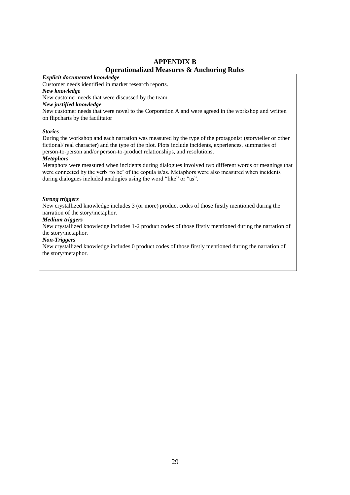### **APPENDIX B Operationalized Measures & Anchoring Rules**

#### *Explicit documented knowledge*

Customer needs identified in market research reports.

*New knowledge*

New customer needs that were discussed by the team

#### *New justified knowledge*

New customer needs that were novel to the Corporation A and were agreed in the workshop and written on flipcharts by the facilitator

#### *Stories*

During the workshop and each narration was measured by the type of the protagonist (storyteller or other fictional/ real character) and the type of the plot. Plots include incidents, experiences, summaries of person-to-person and/or person-to-product relationships, and resolutions.

#### *Metaphors*

Metaphors were measured when incidents during dialogues involved two different words or meanings that were connected by the verb 'to be' of the copula is/as. Metaphors were also measured when incidents during dialogues included analogies using the word "like" or "as".

#### *Strong triggers*

New crystallized knowledge includes 3 (or more) product codes of those firstly mentioned during the narration of the story/metaphor.

#### *Medium triggers*

New crystallized knowledge includes 1-2 product codes of those firstly mentioned during the narration of the story/metaphor.

#### *Non-Triggers*

New crystallized knowledge includes 0 product codes of those firstly mentioned during the narration of the story/metaphor.